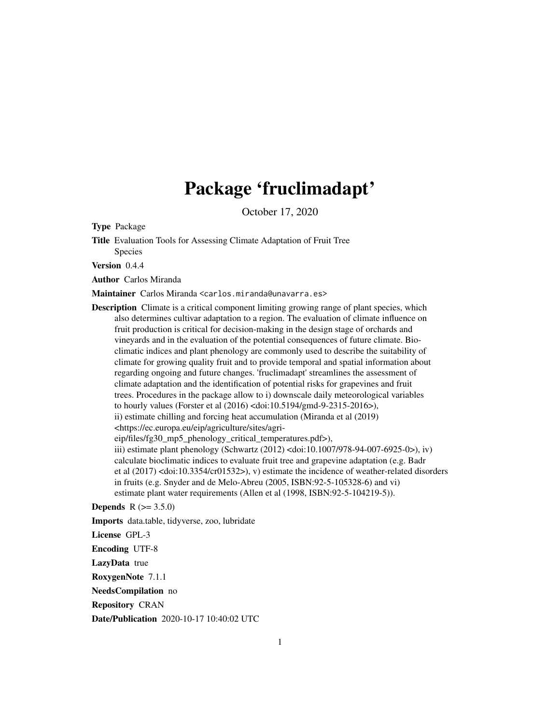# Package 'fruclimadapt'

October 17, 2020

<span id="page-0-0"></span>Type Package

Title Evaluation Tools for Assessing Climate Adaptation of Fruit Tree Species

Version 0.4.4

Author Carlos Miranda

Maintainer Carlos Miranda <carlos.miranda@unavarra.es>

Description Climate is a critical component limiting growing range of plant species, which also determines cultivar adaptation to a region. The evaluation of climate influence on fruit production is critical for decision-making in the design stage of orchards and vineyards and in the evaluation of the potential consequences of future climate. Bioclimatic indices and plant phenology are commonly used to describe the suitability of climate for growing quality fruit and to provide temporal and spatial information about regarding ongoing and future changes. 'fruclimadapt' streamlines the assessment of climate adaptation and the identification of potential risks for grapevines and fruit trees. Procedures in the package allow to i) downscale daily meteorological variables to hourly values (Forster et al (2016) <doi:10.5194/gmd-9-2315-2016>), ii) estimate chilling and forcing heat accumulation (Miranda et al (2019) <https://ec.europa.eu/eip/agriculture/sites/agrieip/files/fg30\_mp5\_phenology\_critical\_temperatures.pdf>), iii) estimate plant phenology (Schwartz (2012) <doi:10.1007/978-94-007-6925-0>), iv) calculate bioclimatic indices to evaluate fruit tree and grapevine adaptation (e.g. Badr et al (2017) <doi:10.3354/cr01532>), v) estimate the incidence of weather-related disorders in fruits (e.g. Snyder and de Melo-Abreu (2005, ISBN:92-5-105328-6) and vi) estimate plant water requirements (Allen et al (1998, ISBN:92-5-104219-5)).

**Depends**  $R (= 3.5.0)$ 

Imports data.table, tidyverse, zoo, lubridate

License GPL-3

Encoding UTF-8

LazyData true

RoxygenNote 7.1.1

NeedsCompilation no

Repository CRAN

Date/Publication 2020-10-17 10:40:02 UTC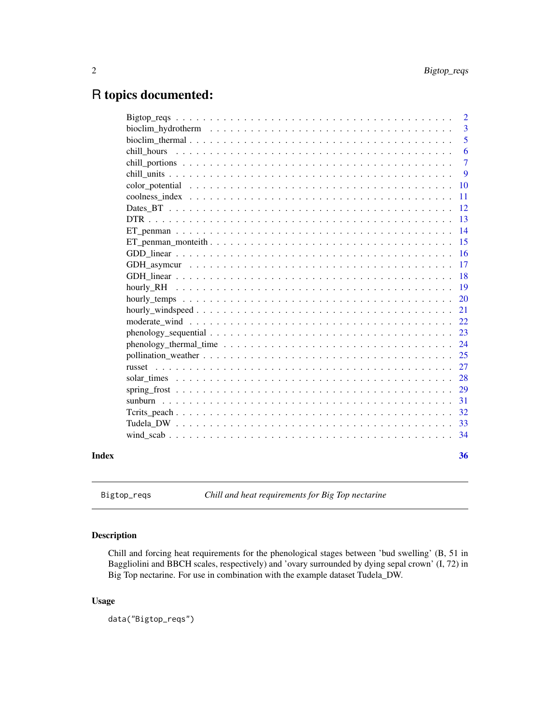## <span id="page-1-0"></span>R topics documented:

|       |                                                                                                                 | $\overline{2}$ |
|-------|-----------------------------------------------------------------------------------------------------------------|----------------|
|       | bioclim_hydrotherm $\ldots \ldots \ldots \ldots \ldots \ldots \ldots \ldots \ldots \ldots \ldots \ldots \ldots$ | -3             |
|       |                                                                                                                 | $\overline{5}$ |
|       |                                                                                                                 | 6              |
|       |                                                                                                                 | $\overline{7}$ |
|       |                                                                                                                 | 9              |
|       |                                                                                                                 | 10             |
|       |                                                                                                                 | $-11$          |
|       |                                                                                                                 | -12            |
|       |                                                                                                                 | 13             |
|       |                                                                                                                 | -14            |
|       |                                                                                                                 | -15            |
|       |                                                                                                                 |                |
|       |                                                                                                                 |                |
|       |                                                                                                                 |                |
|       |                                                                                                                 | -19            |
|       |                                                                                                                 |                |
|       |                                                                                                                 |                |
|       |                                                                                                                 |                |
|       |                                                                                                                 |                |
|       |                                                                                                                 |                |
|       |                                                                                                                 |                |
|       |                                                                                                                 |                |
|       |                                                                                                                 |                |
|       |                                                                                                                 | 29             |
|       |                                                                                                                 | 31             |
|       |                                                                                                                 |                |
|       |                                                                                                                 |                |
|       |                                                                                                                 |                |
| Index |                                                                                                                 | 36             |
|       |                                                                                                                 |                |

Bigtop\_reqs *Chill and heat requirements for Big Top nectarine*

### Description

Chill and forcing heat requirements for the phenological stages between 'bud swelling' (B, 51 in Baggliolini and BBCH scales, respectively) and 'ovary surrounded by dying sepal crown' (I, 72) in Big Top nectarine. For use in combination with the example dataset Tudela\_DW.

#### Usage

data("Bigtop\_reqs")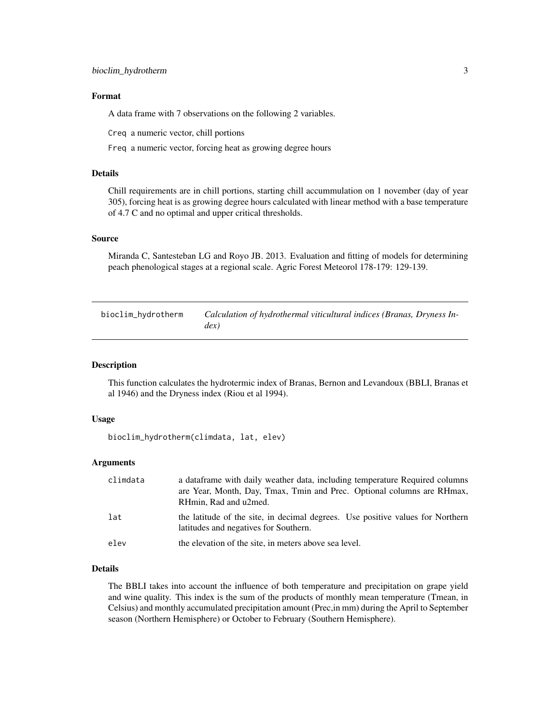#### <span id="page-2-0"></span>Format

A data frame with 7 observations on the following 2 variables.

Creq a numeric vector, chill portions

Freq a numeric vector, forcing heat as growing degree hours

#### Details

Chill requirements are in chill portions, starting chill accummulation on 1 november (day of year 305), forcing heat is as growing degree hours calculated with linear method with a base temperature of 4.7 C and no optimal and upper critical thresholds.

#### Source

Miranda C, Santesteban LG and Royo JB. 2013. Evaluation and fitting of models for determining peach phenological stages at a regional scale. Agric Forest Meteorol 178-179: 129-139.

| bioclim_hydrotherm | Calculation of hydrothermal viticultural indices (Branas, Dryness In- |
|--------------------|-----------------------------------------------------------------------|
|                    | dex)                                                                  |

#### Description

This function calculates the hydrotermic index of Branas, Bernon and Levandoux (BBLI, Branas et al 1946) and the Dryness index (Riou et al 1994).

#### Usage

bioclim\_hydrotherm(climdata, lat, elev)

#### Arguments

| climdata | a data frame with daily weather data, including temperature Required columns<br>are Year, Month, Day, Tmax, Tmin and Prec. Optional columns are RHmax,<br>RHmin, Rad and u2med. |
|----------|---------------------------------------------------------------------------------------------------------------------------------------------------------------------------------|
| lat      | the latitude of the site, in decimal degrees. Use positive values for Northern<br>latitudes and negatives for Southern.                                                         |
| elev     | the elevation of the site, in meters above sea level.                                                                                                                           |

#### Details

The BBLI takes into account the influence of both temperature and precipitation on grape yield and wine quality. This index is the sum of the products of monthly mean temperature (Tmean, in Celsius) and monthly accumulated precipitation amount (Prec,in mm) during the April to September season (Northern Hemisphere) or October to February (Southern Hemisphere).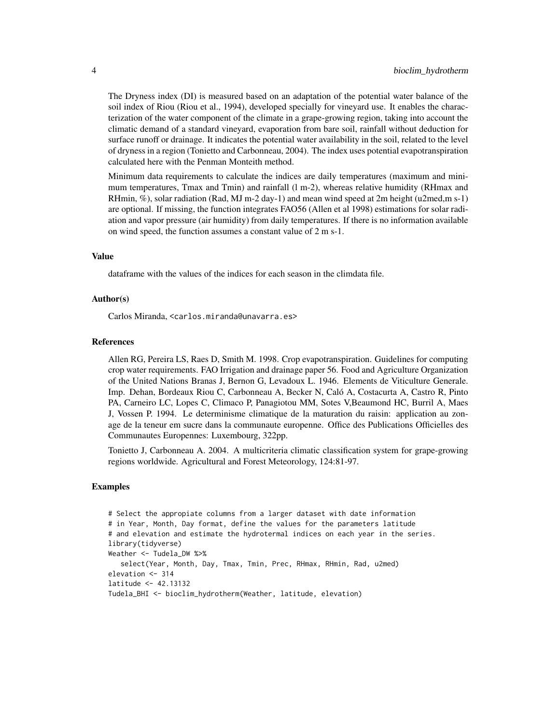The Dryness index (DI) is measured based on an adaptation of the potential water balance of the soil index of Riou (Riou et al., 1994), developed specially for vineyard use. It enables the characterization of the water component of the climate in a grape-growing region, taking into account the climatic demand of a standard vineyard, evaporation from bare soil, rainfall without deduction for surface runoff or drainage. It indicates the potential water availability in the soil, related to the level of dryness in a region (Tonietto and Carbonneau, 2004). The index uses potential evapotranspiration calculated here with the Penman Monteith method.

Minimum data requirements to calculate the indices are daily temperatures (maximum and minimum temperatures, Tmax and Tmin) and rainfall (l m-2), whereas relative humidity (RHmax and RHmin,  $\%$ ), solar radiation (Rad, MJ m-2 day-1) and mean wind speed at 2m height (u2med,m s-1) are optional. If missing, the function integrates FAO56 (Allen et al 1998) estimations for solar radiation and vapor pressure (air humidity) from daily temperatures. If there is no information available on wind speed, the function assumes a constant value of 2 m s-1.

#### Value

dataframe with the values of the indices for each season in the climdata file.

#### Author(s)

Carlos Miranda, <carlos.miranda@unavarra.es>

#### References

Allen RG, Pereira LS, Raes D, Smith M. 1998. Crop evapotranspiration. Guidelines for computing crop water requirements. FAO Irrigation and drainage paper 56. Food and Agriculture Organization of the United Nations Branas J, Bernon G, Levadoux L. 1946. Elements de Viticulture Generale. Imp. Dehan, Bordeaux Riou C, Carbonneau A, Becker N, Caló A, Costacurta A, Castro R, Pinto PA, Carneiro LC, Lopes C, Climaco P, Panagiotou MM, Sotes V,Beaumond HC, Burril A, Maes J, Vossen P. 1994. Le determinisme climatique de la maturation du raisin: application au zonage de la teneur em sucre dans la communaute europenne. Office des Publications Officielles des Communautes Europennes: Luxembourg, 322pp.

Tonietto J, Carbonneau A. 2004. A multicriteria climatic classification system for grape-growing regions worldwide. Agricultural and Forest Meteorology, 124:81-97.

#### Examples

```
# Select the appropiate columns from a larger dataset with date information
# in Year, Month, Day format, define the values for the parameters latitude
# and elevation and estimate the hydrotermal indices on each year in the series.
library(tidyverse)
Weather <- Tudela_DW %>%
   select(Year, Month, Day, Tmax, Tmin, Prec, RHmax, RHmin, Rad, u2med)
elevation <- 314
latitude <- 42.13132
Tudela_BHI <- bioclim_hydrotherm(Weather, latitude, elevation)
```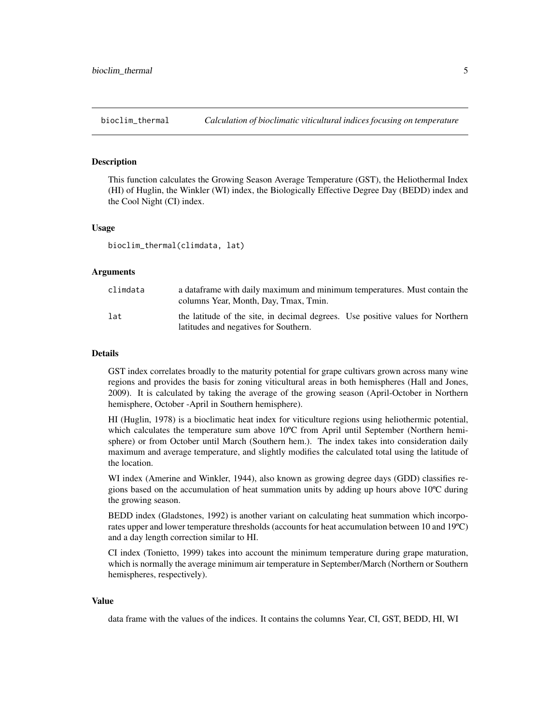#### <span id="page-4-0"></span>**Description**

This function calculates the Growing Season Average Temperature (GST), the Heliothermal Index (HI) of Huglin, the Winkler (WI) index, the Biologically Effective Degree Day (BEDD) index and the Cool Night (CI) index.

#### Usage

bioclim\_thermal(climdata, lat)

#### Arguments

| climdata | a data frame with daily maximum and minimum temperatures. Must contain the<br>columns Year, Month, Day, Tmax, Tmin.     |
|----------|-------------------------------------------------------------------------------------------------------------------------|
| lat      | the latitude of the site, in decimal degrees. Use positive values for Northern<br>latitudes and negatives for Southern. |

#### Details

GST index correlates broadly to the maturity potential for grape cultivars grown across many wine regions and provides the basis for zoning viticultural areas in both hemispheres (Hall and Jones, 2009). It is calculated by taking the average of the growing season (April-October in Northern hemisphere, October -April in Southern hemisphere).

HI (Huglin, 1978) is a bioclimatic heat index for viticulture regions using heliothermic potential, which calculates the temperature sum above 10°C from April until September (Northern hemisphere) or from October until March (Southern hem.). The index takes into consideration daily maximum and average temperature, and slightly modifies the calculated total using the latitude of the location.

WI index (Amerine and Winkler, 1944), also known as growing degree days (GDD) classifies regions based on the accumulation of heat summation units by adding up hours above 10ºC during the growing season.

BEDD index (Gladstones, 1992) is another variant on calculating heat summation which incorporates upper and lower temperature thresholds (accounts for heat accumulation between 10 and 19ºC) and a day length correction similar to HI.

CI index (Tonietto, 1999) takes into account the minimum temperature during grape maturation, which is normally the average minimum air temperature in September/March (Northern or Southern hemispheres, respectively).

#### Value

data frame with the values of the indices. It contains the columns Year, CI, GST, BEDD, HI, WI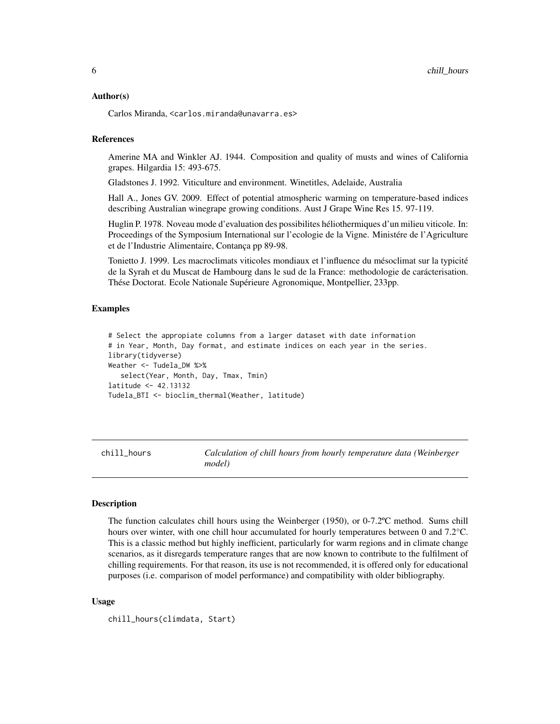#### <span id="page-5-0"></span>Author(s)

Carlos Miranda, <carlos.miranda@unavarra.es>

#### References

Amerine MA and Winkler AJ. 1944. Composition and quality of musts and wines of California grapes. Hilgardia 15: 493-675.

Gladstones J. 1992. Viticulture and environment. Winetitles, Adelaide, Australia

Hall A., Jones GV. 2009. Effect of potential atmospheric warming on temperature-based indices describing Australian winegrape growing conditions. Aust J Grape Wine Res 15. 97-119.

Huglin P. 1978. Noveau mode d'evaluation des possibilites héliothermiques d'un milieu viticole. In: Proceedings of the Symposium International sur l'ecologie de la Vigne. Ministére de l'Agriculture et de l'Industrie Alimentaire, Contança pp 89-98.

Tonietto J. 1999. Les macroclimats viticoles mondiaux et l'influence du mésoclimat sur la typicité de la Syrah et du Muscat de Hambourg dans le sud de la France: methodologie de carácterisation. Thése Doctorat. Ecole Nationale Supérieure Agronomique, Montpellier, 233pp.

#### Examples

```
# Select the appropiate columns from a larger dataset with date information
# in Year, Month, Day format, and estimate indices on each year in the series.
library(tidyverse)
Weather <- Tudela_DW %>%
   select(Year, Month, Day, Tmax, Tmin)
latitude <- 42.13132
Tudela_BTI <- bioclim_thermal(Weather, latitude)
```
chill\_hours *Calculation of chill hours from hourly temperature data (Weinberger model)*

#### **Description**

The function calculates chill hours using the Weinberger (1950), or 0-7.2ºC method. Sums chill hours over winter, with one chill hour accumulated for hourly temperatures between 0 and 7.2°C. This is a classic method but highly inefficient, particularly for warm regions and in climate change scenarios, as it disregards temperature ranges that are now known to contribute to the fulfilment of chilling requirements. For that reason, its use is not recommended, it is offered only for educational purposes (i.e. comparison of model performance) and compatibility with older bibliography.

#### Usage

```
chill_hours(climdata, Start)
```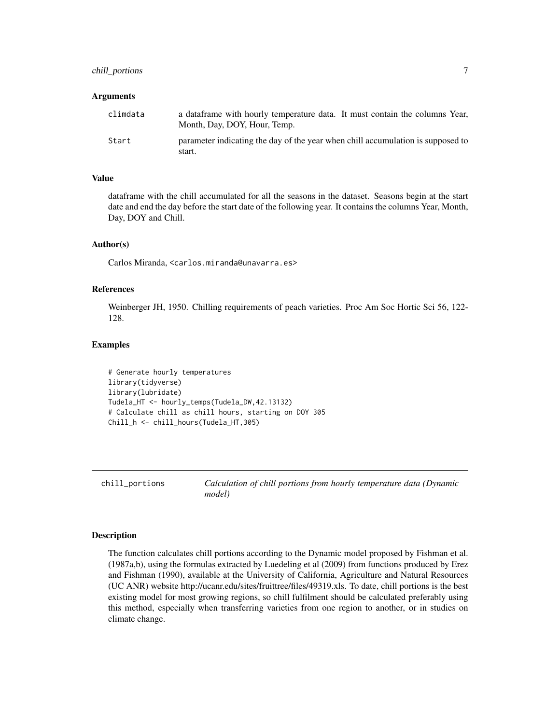#### <span id="page-6-0"></span>chill\_portions 7

#### **Arguments**

| climdata | a dataframe with hourly temperature data. It must contain the columns Year,<br>Month, Day, DOY, Hour, Temp. |
|----------|-------------------------------------------------------------------------------------------------------------|
| Start    | parameter indicating the day of the year when chill accumulation is supposed to<br>start.                   |

#### Value

dataframe with the chill accumulated for all the seasons in the dataset. Seasons begin at the start date and end the day before the start date of the following year. It contains the columns Year, Month, Day, DOY and Chill.

#### Author(s)

Carlos Miranda, <carlos.miranda@unavarra.es>

#### References

Weinberger JH, 1950. Chilling requirements of peach varieties. Proc Am Soc Hortic Sci 56, 122- 128.

#### Examples

```
# Generate hourly temperatures
library(tidyverse)
library(lubridate)
Tudela_HT <- hourly_temps(Tudela_DW,42.13132)
# Calculate chill as chill hours, starting on DOY 305
Chill_h <- chill_hours(Tudela_HT,305)
```
chill\_portions *Calculation of chill portions from hourly temperature data (Dynamic model)*

#### **Description**

The function calculates chill portions according to the Dynamic model proposed by Fishman et al. (1987a,b), using the formulas extracted by Luedeling et al (2009) from functions produced by Erez and Fishman (1990), available at the University of California, Agriculture and Natural Resources (UC ANR) website http://ucanr.edu/sites/fruittree/files/49319.xls. To date, chill portions is the best existing model for most growing regions, so chill fulfilment should be calculated preferably using this method, especially when transferring varieties from one region to another, or in studies on climate change.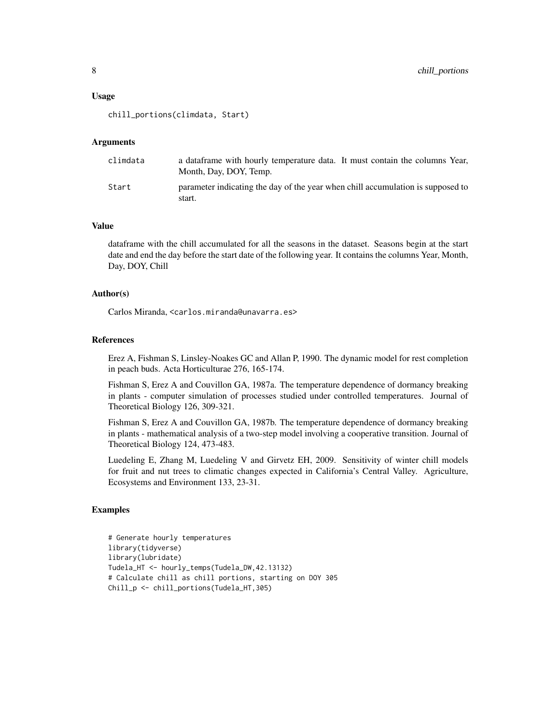#### Usage

chill\_portions(climdata, Start)

#### Arguments

| climdata | a data frame with hourly temperature data. It must contain the columns Year,<br>Month, Day, DOY, Temp. |
|----------|--------------------------------------------------------------------------------------------------------|
| Start    | parameter indicating the day of the year when chill accumulation is supposed to<br>start.              |

#### Value

dataframe with the chill accumulated for all the seasons in the dataset. Seasons begin at the start date and end the day before the start date of the following year. It contains the columns Year, Month, Day, DOY, Chill

#### Author(s)

Carlos Miranda, <carlos.miranda@unavarra.es>

#### References

Erez A, Fishman S, Linsley-Noakes GC and Allan P, 1990. The dynamic model for rest completion in peach buds. Acta Horticulturae 276, 165-174.

Fishman S, Erez A and Couvillon GA, 1987a. The temperature dependence of dormancy breaking in plants - computer simulation of processes studied under controlled temperatures. Journal of Theoretical Biology 126, 309-321.

Fishman S, Erez A and Couvillon GA, 1987b. The temperature dependence of dormancy breaking in plants - mathematical analysis of a two-step model involving a cooperative transition. Journal of Theoretical Biology 124, 473-483.

Luedeling E, Zhang M, Luedeling V and Girvetz EH, 2009. Sensitivity of winter chill models for fruit and nut trees to climatic changes expected in California's Central Valley. Agriculture, Ecosystems and Environment 133, 23-31.

#### Examples

```
# Generate hourly temperatures
library(tidyverse)
library(lubridate)
Tudela_HT <- hourly_temps(Tudela_DW,42.13132)
# Calculate chill as chill portions, starting on DOY 305
Chill_p <- chill_portions(Tudela_HT,305)
```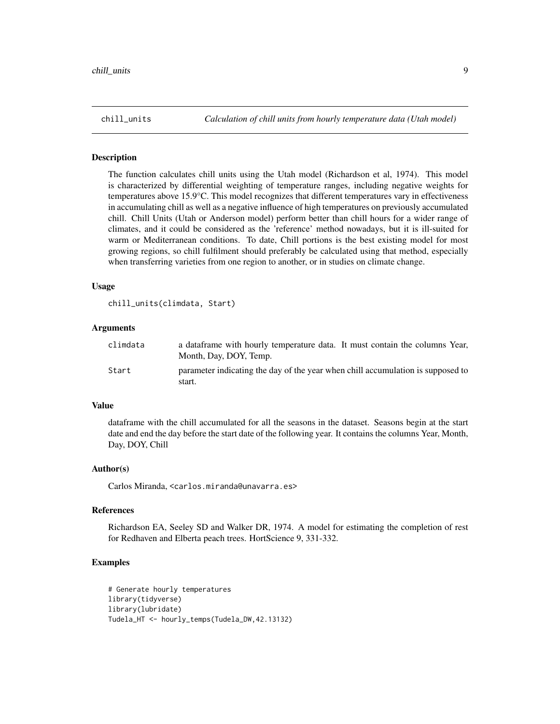<span id="page-8-0"></span>

#### Description

The function calculates chill units using the Utah model (Richardson et al, 1974). This model is characterized by differential weighting of temperature ranges, including negative weights for temperatures above 15.9°C. This model recognizes that different temperatures vary in effectiveness in accumulating chill as well as a negative influence of high temperatures on previously accumulated chill. Chill Units (Utah or Anderson model) perform better than chill hours for a wider range of climates, and it could be considered as the 'reference' method nowadays, but it is ill-suited for warm or Mediterranean conditions. To date, Chill portions is the best existing model for most growing regions, so chill fulfilment should preferably be calculated using that method, especially when transferring varieties from one region to another, or in studies on climate change.

#### Usage

```
chill_units(climdata, Start)
```
#### Arguments

| climdata | a data frame with hourly temperature data. It must contain the columns Year,<br>Month, Day, DOY, Temp. |
|----------|--------------------------------------------------------------------------------------------------------|
| Start    | parameter indicating the day of the year when chill accumulation is supposed to<br>start.              |

#### Value

dataframe with the chill accumulated for all the seasons in the dataset. Seasons begin at the start date and end the day before the start date of the following year. It contains the columns Year, Month, Day, DOY, Chill

#### Author(s)

Carlos Miranda, <carlos.miranda@unavarra.es>

#### References

Richardson EA, Seeley SD and Walker DR, 1974. A model for estimating the completion of rest for Redhaven and Elberta peach trees. HortScience 9, 331-332.

#### Examples

```
# Generate hourly temperatures
library(tidyverse)
library(lubridate)
Tudela_HT <- hourly_temps(Tudela_DW,42.13132)
```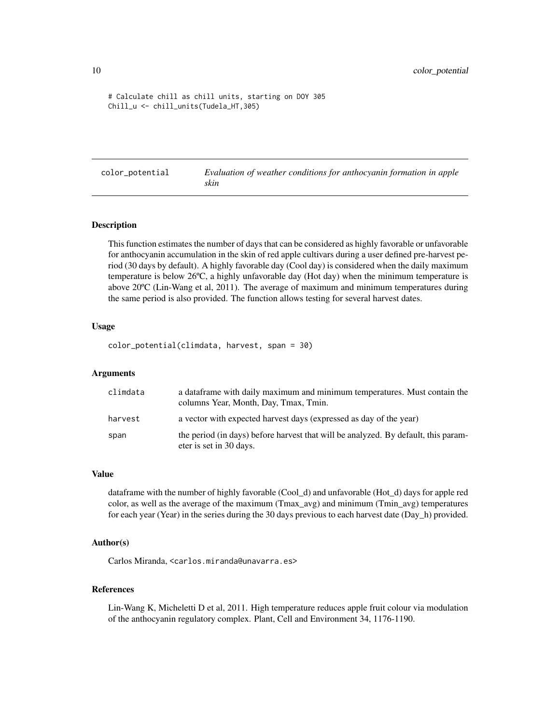```
# Calculate chill as chill units, starting on DOY 305
Chill_u <- chill_units(Tudela_HT,305)
```
color\_potential *Evaluation of weather conditions for anthocyanin formation in apple skin*

#### **Description**

This function estimates the number of days that can be considered as highly favorable or unfavorable for anthocyanin accumulation in the skin of red apple cultivars during a user defined pre-harvest period (30 days by default). A highly favorable day (Cool day) is considered when the daily maximum temperature is below 26ºC, a highly unfavorable day (Hot day) when the minimum temperature is above 20ºC (Lin-Wang et al, 2011). The average of maximum and minimum temperatures during the same period is also provided. The function allows testing for several harvest dates.

#### Usage

color\_potential(climdata, harvest, span = 30)

#### Arguments

| climdata | a data frame with daily maximum and minimum temperatures. Must contain the<br>columns Year, Month, Day, Tmax, Tmin. |
|----------|---------------------------------------------------------------------------------------------------------------------|
| harvest  | a vector with expected harvest days (expressed as day of the year)                                                  |
| span     | the period (in days) before harvest that will be analyzed. By default, this param-<br>eter is set in 30 days.       |

#### Value

dataframe with the number of highly favorable (Cool\_d) and unfavorable (Hot\_d) days for apple red color, as well as the average of the maximum (Tmax\_avg) and minimum (Tmin\_avg) temperatures for each year (Year) in the series during the 30 days previous to each harvest date (Day\_h) provided.

#### Author(s)

Carlos Miranda, <carlos.miranda@unavarra.es>

### References

Lin-Wang K, Micheletti D et al, 2011. High temperature reduces apple fruit colour via modulation of the anthocyanin regulatory complex. Plant, Cell and Environment 34, 1176-1190.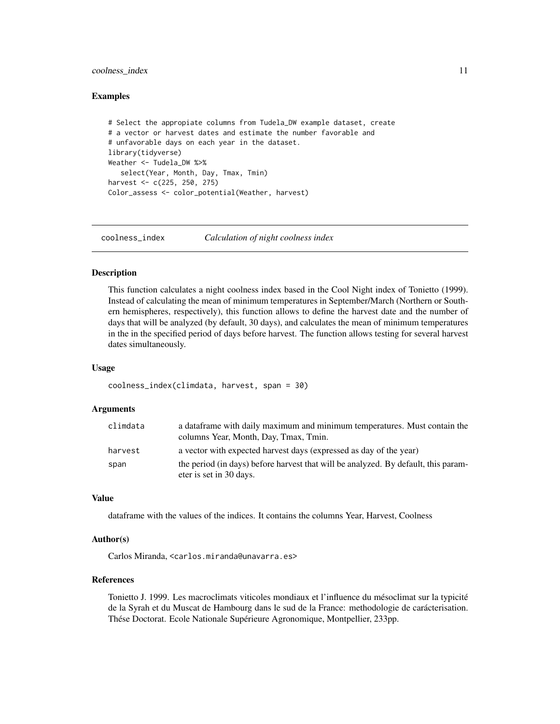#### <span id="page-10-0"></span>coolness\_index 11

#### Examples

```
# Select the appropiate columns from Tudela_DW example dataset, create
# a vector or harvest dates and estimate the number favorable and
# unfavorable days on each year in the dataset.
library(tidyverse)
Weather <- Tudela_DW %>%
   select(Year, Month, Day, Tmax, Tmin)
harvest <- c(225, 250, 275)
Color_assess <- color_potential(Weather, harvest)
```
coolness\_index *Calculation of night coolness index*

#### Description

This function calculates a night coolness index based in the Cool Night index of Tonietto (1999). Instead of calculating the mean of minimum temperatures in September/March (Northern or Southern hemispheres, respectively), this function allows to define the harvest date and the number of days that will be analyzed (by default, 30 days), and calculates the mean of minimum temperatures in the in the specified period of days before harvest. The function allows testing for several harvest dates simultaneously.

#### Usage

```
coolness_index(climdata, harvest, span = 30)
```
#### Arguments

| climdata | a data frame with daily maximum and minimum temperatures. Must contain the<br>columns Year, Month, Day, Tmax, Tmin. |
|----------|---------------------------------------------------------------------------------------------------------------------|
| harvest  | a vector with expected harvest days (expressed as day of the year)                                                  |
| span     | the period (in days) before harvest that will be analyzed. By default, this param-<br>eter is set in 30 days.       |

#### Value

dataframe with the values of the indices. It contains the columns Year, Harvest, Coolness

#### Author(s)

Carlos Miranda, <carlos.miranda@unavarra.es>

#### References

Tonietto J. 1999. Les macroclimats viticoles mondiaux et l'influence du mésoclimat sur la typicité de la Syrah et du Muscat de Hambourg dans le sud de la France: methodologie de carácterisation. Thése Doctorat. Ecole Nationale Supérieure Agronomique, Montpellier, 233pp.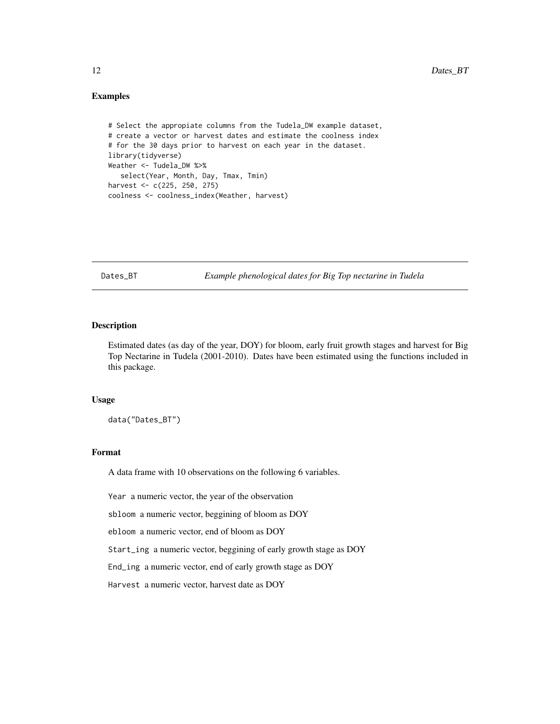#### <span id="page-11-0"></span>Examples

```
# Select the appropiate columns from the Tudela_DW example dataset,
# create a vector or harvest dates and estimate the coolness index
# for the 30 days prior to harvest on each year in the dataset.
library(tidyverse)
Weather <- Tudela_DW %>%
   select(Year, Month, Day, Tmax, Tmin)
harvest <- c(225, 250, 275)
coolness <- coolness_index(Weather, harvest)
```
Dates\_BT *Example phenological dates for Big Top nectarine in Tudela*

#### Description

Estimated dates (as day of the year, DOY) for bloom, early fruit growth stages and harvest for Big Top Nectarine in Tudela (2001-2010). Dates have been estimated using the functions included in this package.

#### Usage

data("Dates\_BT")

#### Format

A data frame with 10 observations on the following 6 variables.

Year a numeric vector, the year of the observation

sbloom a numeric vector, beggining of bloom as DOY

ebloom a numeric vector, end of bloom as DOY

Start\_ing a numeric vector, beggining of early growth stage as DOY

End\_ing a numeric vector, end of early growth stage as DOY

Harvest a numeric vector, harvest date as DOY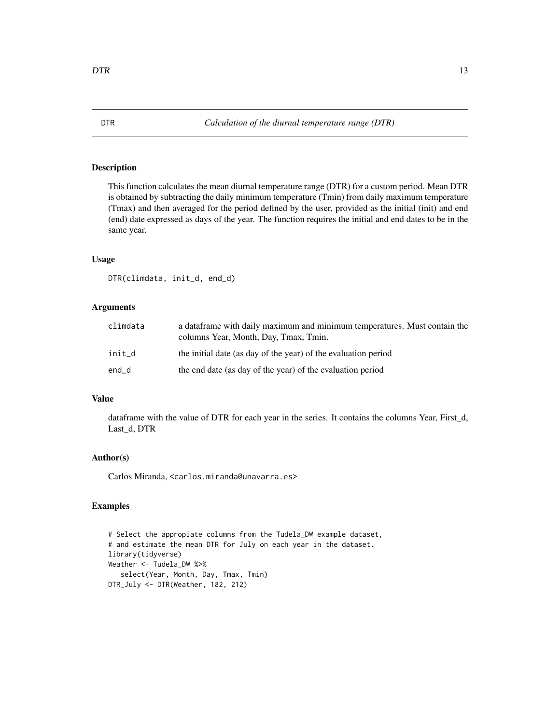#### <span id="page-12-0"></span>Description

This function calculates the mean diurnal temperature range (DTR) for a custom period. Mean DTR is obtained by subtracting the daily minimum temperature (Tmin) from daily maximum temperature (Tmax) and then averaged for the period defined by the user, provided as the initial (init) and end (end) date expressed as days of the year. The function requires the initial and end dates to be in the same year.

#### Usage

DTR(climdata, init\_d, end\_d)

#### Arguments

| climdata | a data frame with daily maximum and minimum temperatures. Must contain the<br>columns Year, Month, Day, Tmax, Tmin. |
|----------|---------------------------------------------------------------------------------------------------------------------|
| init d   | the initial date (as day of the year) of the evaluation period                                                      |
| end_d    | the end date (as day of the year) of the evaluation period                                                          |

#### Value

dataframe with the value of DTR for each year in the series. It contains the columns Year, First\_d, Last\_d, DTR

#### Author(s)

Carlos Miranda, <carlos.miranda@unavarra.es>

#### Examples

```
# Select the appropiate columns from the Tudela_DW example dataset,
# and estimate the mean DTR for July on each year in the dataset.
library(tidyverse)
Weather <- Tudela_DW %>%
   select(Year, Month, Day, Tmax, Tmin)
DTR_July <- DTR(Weather, 182, 212)
```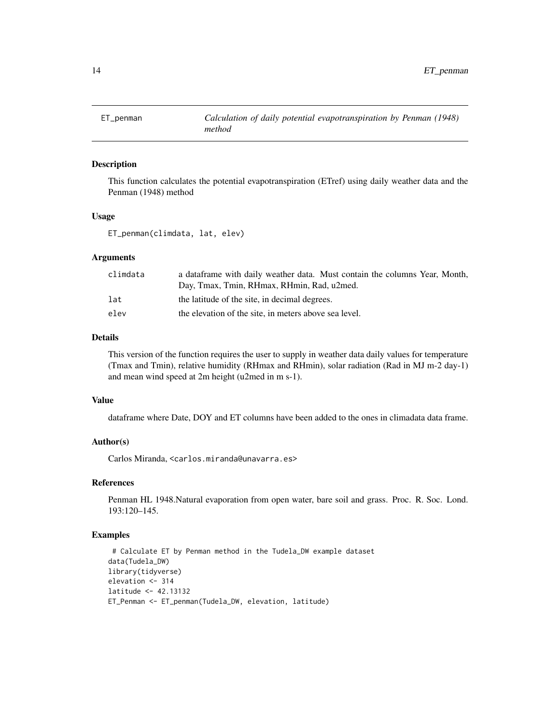<span id="page-13-0"></span>

#### Description

This function calculates the potential evapotranspiration (ETref) using daily weather data and the Penman (1948) method

#### Usage

ET\_penman(climdata, lat, elev)

#### Arguments

| climdata | a dataframe with daily weather data. Must contain the columns Year, Month, |
|----------|----------------------------------------------------------------------------|
|          | Day, Tmax, Tmin, RHmax, RHmin, Rad, u2med.                                 |
| lat      | the latitude of the site, in decimal degrees.                              |
| elev     | the elevation of the site, in meters above sea level.                      |
|          |                                                                            |

#### Details

This version of the function requires the user to supply in weather data daily values for temperature (Tmax and Tmin), relative humidity (RHmax and RHmin), solar radiation (Rad in MJ m-2 day-1) and mean wind speed at 2m height (u2med in m s-1).

#### Value

dataframe where Date, DOY and ET columns have been added to the ones in climadata data frame.

#### Author(s)

Carlos Miranda, <carlos.miranda@unavarra.es>

#### References

Penman HL 1948.Natural evaporation from open water, bare soil and grass. Proc. R. Soc. Lond. 193:120–145.

#### Examples

```
# Calculate ET by Penman method in the Tudela_DW example dataset
data(Tudela_DW)
library(tidyverse)
elevation <- 314
latitude <- 42.13132
ET_Penman <- ET_penman(Tudela_DW, elevation, latitude)
```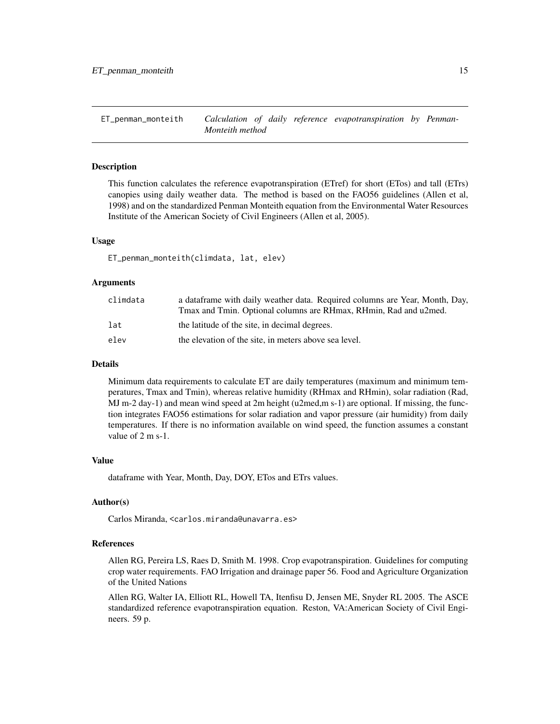<span id="page-14-0"></span>ET\_penman\_monteith *Calculation of daily reference evapotranspiration by Penman-Monteith method*

#### Description

This function calculates the reference evapotranspiration (ETref) for short (ETos) and tall (ETrs) canopies using daily weather data. The method is based on the FAO56 guidelines (Allen et al, 1998) and on the standardized Penman Monteith equation from the Environmental Water Resources Institute of the American Society of Civil Engineers (Allen et al, 2005).

#### Usage

ET\_penman\_monteith(climdata, lat, elev)

#### Arguments

| climdata | a dataframe with daily weather data. Required columns are Year, Month, Day,<br>Tmax and Tmin. Optional columns are RHmax, RHmin, Rad and u2med. |
|----------|-------------------------------------------------------------------------------------------------------------------------------------------------|
| lat      | the latitude of the site, in decimal degrees.                                                                                                   |
| elev     | the elevation of the site, in meters above sea level.                                                                                           |

#### Details

Minimum data requirements to calculate ET are daily temperatures (maximum and minimum temperatures, Tmax and Tmin), whereas relative humidity (RHmax and RHmin), solar radiation (Rad, MJ m-2 day-1) and mean wind speed at 2m height (u2med,m s-1) are optional. If missing, the function integrates FAO56 estimations for solar radiation and vapor pressure (air humidity) from daily temperatures. If there is no information available on wind speed, the function assumes a constant value of 2 m s-1.

#### Value

dataframe with Year, Month, Day, DOY, ETos and ETrs values.

#### Author(s)

Carlos Miranda, <carlos.miranda@unavarra.es>

#### References

Allen RG, Pereira LS, Raes D, Smith M. 1998. Crop evapotranspiration. Guidelines for computing crop water requirements. FAO Irrigation and drainage paper 56. Food and Agriculture Organization of the United Nations

Allen RG, Walter IA, Elliott RL, Howell TA, Itenfisu D, Jensen ME, Snyder RL 2005. The ASCE standardized reference evapotranspiration equation. Reston, VA:American Society of Civil Engineers. 59 p.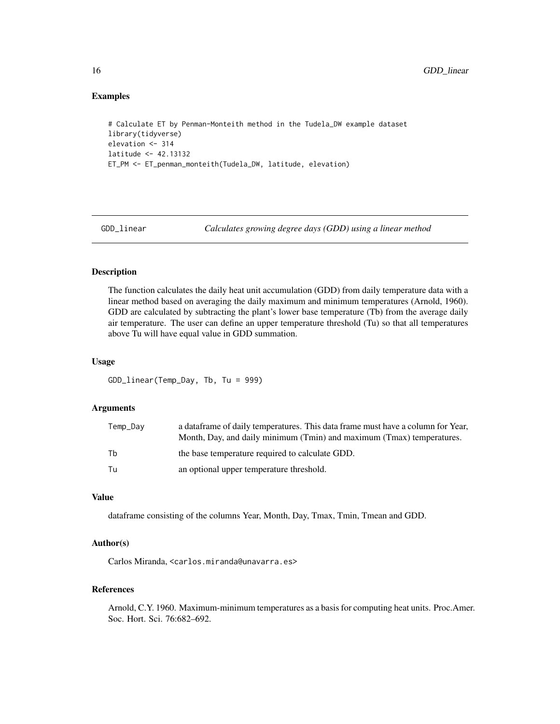#### Examples

```
# Calculate ET by Penman-Monteith method in the Tudela_DW example dataset
library(tidyverse)
elevation <- 314
latitude <- 42.13132
ET_PM <- ET_penman_monteith(Tudela_DW, latitude, elevation)
```
GDD\_linear *Calculates growing degree days (GDD) using a linear method*

#### Description

The function calculates the daily heat unit accumulation (GDD) from daily temperature data with a linear method based on averaging the daily maximum and minimum temperatures (Arnold, 1960). GDD are calculated by subtracting the plant's lower base temperature (Tb) from the average daily air temperature. The user can define an upper temperature threshold (Tu) so that all temperatures above Tu will have equal value in GDD summation.

#### Usage

GDD\_linear(Temp\_Day, Tb, Tu = 999)

#### Arguments

| Temp_Day | a data frame of daily temperatures. This data frame must have a column for Year, |
|----------|----------------------------------------------------------------------------------|
|          | Month, Day, and daily minimum (Tmin) and maximum (Tmax) temperatures.            |
| Tb       | the base temperature required to calculate GDD.                                  |
| Tu       | an optional upper temperature threshold.                                         |

#### Value

dataframe consisting of the columns Year, Month, Day, Tmax, Tmin, Tmean and GDD.

#### Author(s)

Carlos Miranda, <carlos.miranda@unavarra.es>

#### References

Arnold, C.Y. 1960. Maximum-minimum temperatures as a basis for computing heat units. Proc.Amer. Soc. Hort. Sci. 76:682–692.

<span id="page-15-0"></span>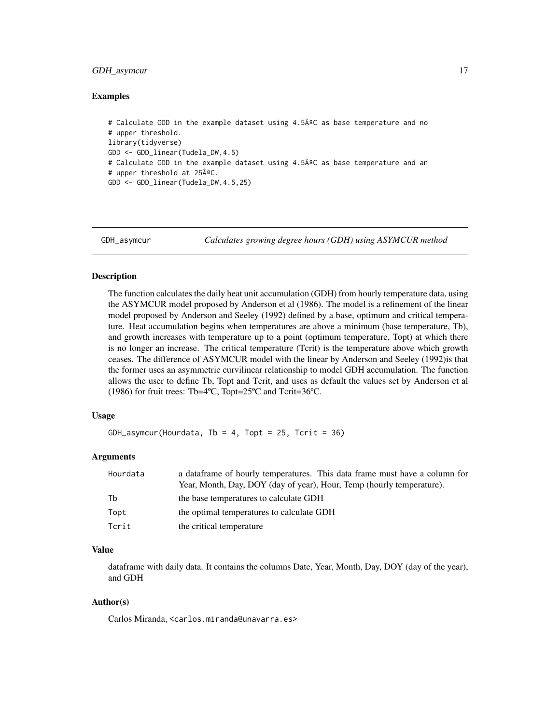#### <span id="page-16-0"></span>GDH\_asymcur 17

#### Examples

# Calculate GDD in the example dataset using  $4.5\hat{A}^{\circ}C$  as base temperature and no # upper threshold. library(tidyverse) GDD <- GDD\_linear(Tudela\_DW,4.5) # Calculate GDD in the example dataset using 4.5ºC as base temperature and an # upper threshold at 25ºC. GDD <- GDD\_linear(Tudela\_DW,4.5,25)

GDH\_asymcur *Calculates growing degree hours (GDH) using ASYMCUR method*

#### Description

The function calculates the daily heat unit accumulation (GDH) from hourly temperature data, using the ASYMCUR model proposed by Anderson et al (1986). The model is a refinement of the linear model proposed by Anderson and Seeley (1992) defined by a base, optimum and critical temperature. Heat accumulation begins when temperatures are above a minimum (base temperature, Tb), and growth increases with temperature up to a point (optimum temperature, Topt) at which there is no longer an increase. The critical temperature (Tcrit) is the temperature above which growth ceases. The difference of ASYMCUR model with the linear by Anderson and Seeley (1992)is that the former uses an asymmetric curvilinear relationship to model GDH accumulation. The function allows the user to define Tb, Topt and Tcrit, and uses as default the values set by Anderson et al (1986) for fruit trees: Tb=4ºC, Topt=25ºC and Tcrit=36ºC.

#### Usage

```
GDH_asymcur(Hourdata, Tb = 4, Topt = 25, Tcrit = 36)
```
#### Arguments

| Hourdata | a data frame of hourly temperatures. This data frame must have a column for |
|----------|-----------------------------------------------------------------------------|
|          | Year, Month, Day, DOY (day of year), Hour, Temp (hourly temperature).       |
| Th       | the base temperatures to calculate GDH                                      |
| Topt     | the optimal temperatures to calculate GDH                                   |
| Tcrit    | the critical temperature                                                    |

#### Value

dataframe with daily data. It contains the columns Date, Year, Month, Day, DOY (day of the year), and GDH

#### Author(s)

Carlos Miranda, <carlos.miranda@unavarra.es>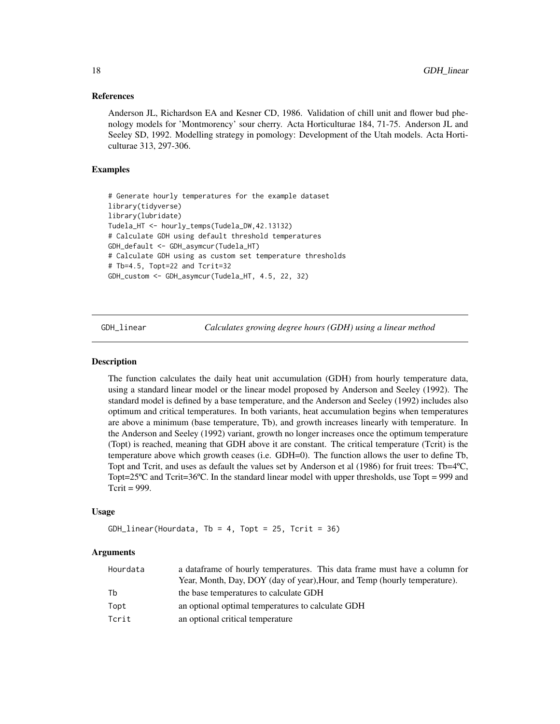#### <span id="page-17-0"></span>References

Anderson JL, Richardson EA and Kesner CD, 1986. Validation of chill unit and flower bud phenology models for 'Montmorency' sour cherry. Acta Horticulturae 184, 71-75. Anderson JL and Seeley SD, 1992. Modelling strategy in pomology: Development of the Utah models. Acta Horticulturae 313, 297-306.

#### Examples

```
# Generate hourly temperatures for the example dataset
library(tidyverse)
library(lubridate)
Tudela_HT <- hourly_temps(Tudela_DW,42.13132)
# Calculate GDH using default threshold temperatures
GDH_default <- GDH_asymcur(Tudela_HT)
# Calculate GDH using as custom set temperature thresholds
# Tb=4.5, Topt=22 and Tcrit=32
GDH_custom <- GDH_asymcur(Tudela_HT, 4.5, 22, 32)
```
GDH\_linear *Calculates growing degree hours (GDH) using a linear method*

#### **Description**

The function calculates the daily heat unit accumulation (GDH) from hourly temperature data, using a standard linear model or the linear model proposed by Anderson and Seeley (1992). The standard model is defined by a base temperature, and the Anderson and Seeley (1992) includes also optimum and critical temperatures. In both variants, heat accumulation begins when temperatures are above a minimum (base temperature, Tb), and growth increases linearly with temperature. In the Anderson and Seeley (1992) variant, growth no longer increases once the optimum temperature (Topt) is reached, meaning that GDH above it are constant. The critical temperature (Tcrit) is the temperature above which growth ceases (i.e. GDH=0). The function allows the user to define Tb, Topt and Tcrit, and uses as default the values set by Anderson et al (1986) for fruit trees: Tb=4 °C, Topt= $25^{\circ}$ C and Tcrit= $36^{\circ}$ C. In the standard linear model with upper thresholds, use Topt = 999 and Tcrit =  $999$ .

#### Usage

```
GDH linear(Hourdata, Tb = 4, Topt = 25, Tcrit = 36)
```
#### Arguments

| Hourdata | a data frame of hourly temperatures. This data frame must have a column for |
|----------|-----------------------------------------------------------------------------|
|          | Year, Month, Day, DOY (day of year), Hour, and Temp (hourly temperature).   |
| Th       | the base temperatures to calculate GDH                                      |
| Topt     | an optional optimal temperatures to calculate GDH                           |
| Tcrit    | an optional critical temperature                                            |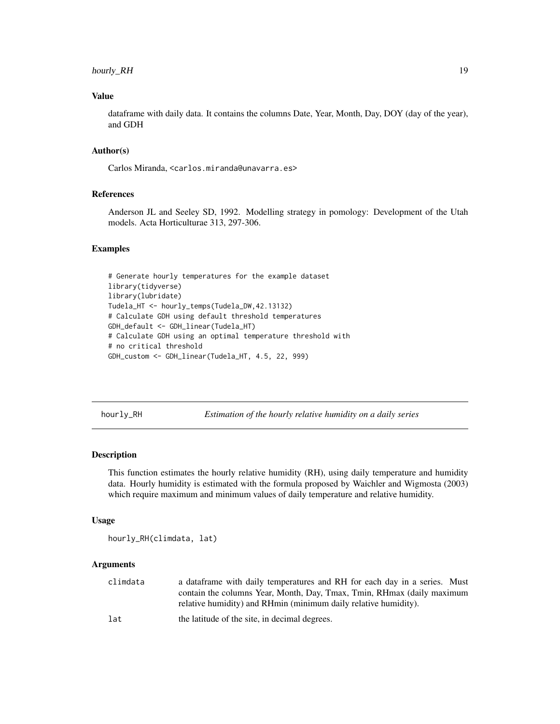#### <span id="page-18-0"></span>hourly\_RH 19

#### Value

dataframe with daily data. It contains the columns Date, Year, Month, Day, DOY (day of the year), and GDH

#### Author(s)

Carlos Miranda, <carlos.miranda@unavarra.es>

#### References

Anderson JL and Seeley SD, 1992. Modelling strategy in pomology: Development of the Utah models. Acta Horticulturae 313, 297-306.

#### Examples

```
# Generate hourly temperatures for the example dataset
library(tidyverse)
library(lubridate)
Tudela_HT <- hourly_temps(Tudela_DW,42.13132)
# Calculate GDH using default threshold temperatures
GDH_default <- GDH_linear(Tudela_HT)
# Calculate GDH using an optimal temperature threshold with
# no critical threshold
GDH_custom <- GDH_linear(Tudela_HT, 4.5, 22, 999)
```
hourly\_RH *Estimation of the hourly relative humidity on a daily series*

#### Description

This function estimates the hourly relative humidity (RH), using daily temperature and humidity data. Hourly humidity is estimated with the formula proposed by Waichler and Wigmosta (2003) which require maximum and minimum values of daily temperature and relative humidity.

#### Usage

hourly\_RH(climdata, lat)

#### Arguments

| climdata | a dataframe with daily temperatures and RH for each day in a series. Must |
|----------|---------------------------------------------------------------------------|
|          | contain the columns Year, Month, Day, Tmax, Tmin, RHmax (daily maximum    |
|          | relative humidity) and RHmin (minimum daily relative humidity).           |
| lat      | the latitude of the site, in decimal degrees.                             |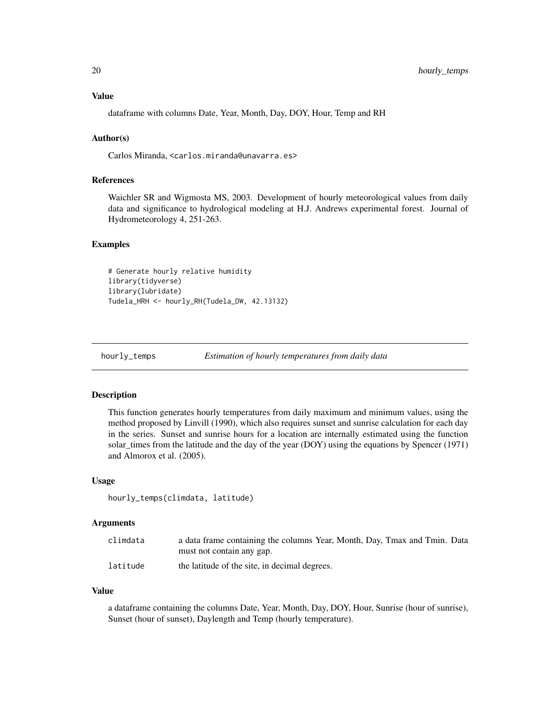#### <span id="page-19-0"></span>Value

dataframe with columns Date, Year, Month, Day, DOY, Hour, Temp and RH

#### Author(s)

Carlos Miranda, <carlos.miranda@unavarra.es>

#### References

Waichler SR and Wigmosta MS, 2003. Development of hourly meteorological values from daily data and significance to hydrological modeling at H.J. Andrews experimental forest. Journal of Hydrometeorology 4, 251-263.

#### Examples

# Generate hourly relative humidity library(tidyverse) library(lubridate) Tudela\_HRH <- hourly\_RH(Tudela\_DW, 42.13132)

hourly\_temps *Estimation of hourly temperatures from daily data*

#### Description

This function generates hourly temperatures from daily maximum and minimum values, using the method proposed by Linvill (1990), which also requires sunset and sunrise calculation for each day in the series. Sunset and sunrise hours for a location are internally estimated using the function solar\_times from the latitude and the day of the year (DOY) using the equations by Spencer (1971) and Almorox et al. (2005).

#### Usage

hourly\_temps(climdata, latitude)

#### Arguments

| climdata | a data frame containing the columns Year, Month, Day, Tmax and Tmin. Data |
|----------|---------------------------------------------------------------------------|
|          | must not contain any gap.                                                 |
| latitude | the latitude of the site, in decimal degrees.                             |

#### Value

a dataframe containing the columns Date, Year, Month, Day, DOY, Hour, Sunrise (hour of sunrise), Sunset (hour of sunset), Daylength and Temp (hourly temperature).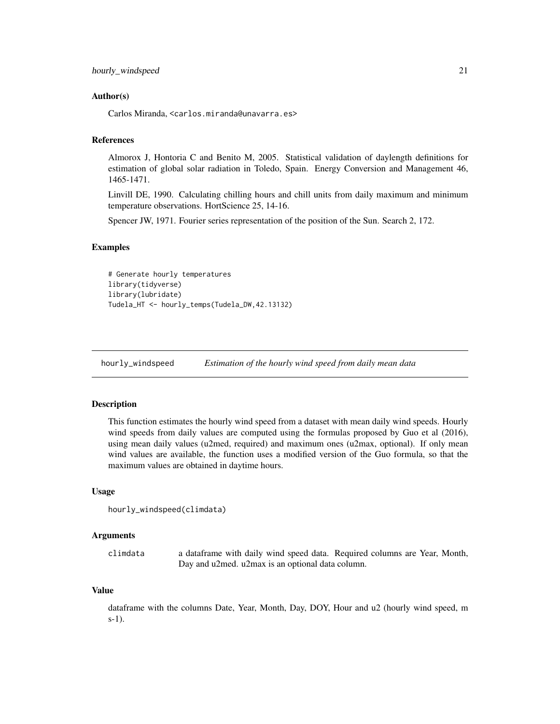#### <span id="page-20-0"></span>Author(s)

Carlos Miranda, <carlos.miranda@unavarra.es>

#### References

Almorox J, Hontoria C and Benito M, 2005. Statistical validation of daylength definitions for estimation of global solar radiation in Toledo, Spain. Energy Conversion and Management 46, 1465-1471.

Linvill DE, 1990. Calculating chilling hours and chill units from daily maximum and minimum temperature observations. HortScience 25, 14-16.

Spencer JW, 1971. Fourier series representation of the position of the Sun. Search 2, 172.

#### Examples

```
# Generate hourly temperatures
library(tidyverse)
library(lubridate)
Tudela_HT <- hourly_temps(Tudela_DW,42.13132)
```
hourly\_windspeed *Estimation of the hourly wind speed from daily mean data*

#### Description

This function estimates the hourly wind speed from a dataset with mean daily wind speeds. Hourly wind speeds from daily values are computed using the formulas proposed by Guo et al (2016), using mean daily values (u2med, required) and maximum ones (u2max, optional). If only mean wind values are available, the function uses a modified version of the Guo formula, so that the maximum values are obtained in daytime hours.

#### Usage

```
hourly_windspeed(climdata)
```
#### Arguments

climdata a dataframe with daily wind speed data. Required columns are Year, Month, Day and u2med. u2max is an optional data column.

#### Value

dataframe with the columns Date, Year, Month, Day, DOY, Hour and u2 (hourly wind speed, m s-1).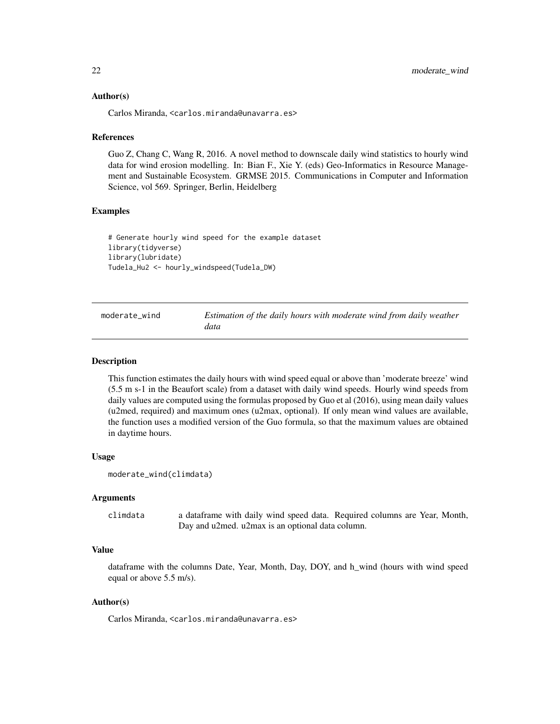#### <span id="page-21-0"></span>Author(s)

Carlos Miranda, <carlos.miranda@unavarra.es>

#### References

Guo Z, Chang C, Wang R, 2016. A novel method to downscale daily wind statistics to hourly wind data for wind erosion modelling. In: Bian F., Xie Y. (eds) Geo-Informatics in Resource Management and Sustainable Ecosystem. GRMSE 2015. Communications in Computer and Information Science, vol 569. Springer, Berlin, Heidelberg

#### Examples

```
# Generate hourly wind speed for the example dataset
library(tidyverse)
library(lubridate)
Tudela_Hu2 <- hourly_windspeed(Tudela_DW)
```

| moderate wind | Estimation of the daily hours with moderate wind from daily weather |
|---------------|---------------------------------------------------------------------|
|               | data                                                                |

#### **Description**

This function estimates the daily hours with wind speed equal or above than 'moderate breeze' wind (5.5 m s-1 in the Beaufort scale) from a dataset with daily wind speeds. Hourly wind speeds from daily values are computed using the formulas proposed by Guo et al (2016), using mean daily values (u2med, required) and maximum ones (u2max, optional). If only mean wind values are available, the function uses a modified version of the Guo formula, so that the maximum values are obtained in daytime hours.

#### Usage

```
moderate_wind(climdata)
```
#### Arguments

climdata a dataframe with daily wind speed data. Required columns are Year, Month, Day and u2med. u2max is an optional data column.

#### Value

dataframe with the columns Date, Year, Month, Day, DOY, and h\_wind (hours with wind speed equal or above 5.5 m/s).

#### Author(s)

Carlos Miranda, <carlos.miranda@unavarra.es>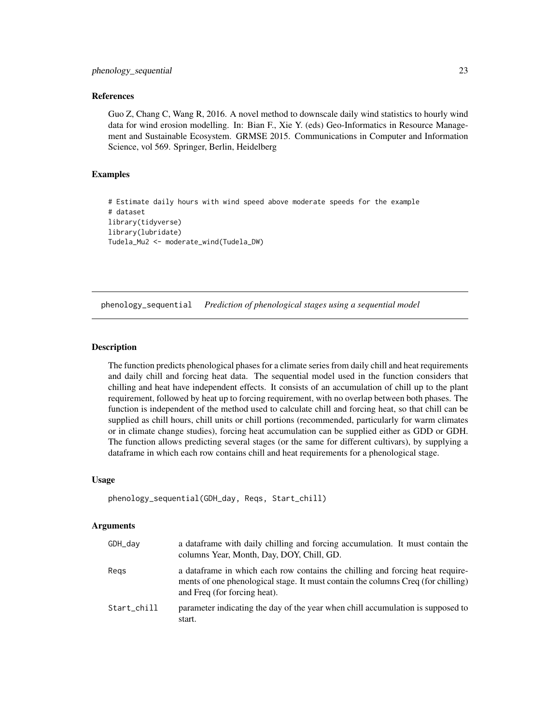#### <span id="page-22-0"></span>References

Guo Z, Chang C, Wang R, 2016. A novel method to downscale daily wind statistics to hourly wind data for wind erosion modelling. In: Bian F., Xie Y. (eds) Geo-Informatics in Resource Management and Sustainable Ecosystem. GRMSE 2015. Communications in Computer and Information Science, vol 569. Springer, Berlin, Heidelberg

#### Examples

```
# Estimate daily hours with wind speed above moderate speeds for the example
# dataset
library(tidyverse)
library(lubridate)
Tudela_Mu2 <- moderate_wind(Tudela_DW)
```
phenology\_sequential *Prediction of phenological stages using a sequential model*

#### Description

The function predicts phenological phases for a climate series from daily chill and heat requirements and daily chill and forcing heat data. The sequential model used in the function considers that chilling and heat have independent effects. It consists of an accumulation of chill up to the plant requirement, followed by heat up to forcing requirement, with no overlap between both phases. The function is independent of the method used to calculate chill and forcing heat, so that chill can be supplied as chill hours, chill units or chill portions (recommended, particularly for warm climates or in climate change studies), forcing heat accumulation can be supplied either as GDD or GDH. The function allows predicting several stages (or the same for different cultivars), by supplying a dataframe in which each row contains chill and heat requirements for a phenological stage.

#### Usage

```
phenology_sequential(GDH_day, Reqs, Start_chill)
```
#### Arguments

| GDH_day     | a dataframe with daily chilling and forcing accumulation. It must contain the<br>columns Year, Month, Day, DOY, Chill, GD.                                                                         |
|-------------|----------------------------------------------------------------------------------------------------------------------------------------------------------------------------------------------------|
| Regs        | a data frame in which each row contains the chilling and forcing heat require-<br>ments of one phenological stage. It must contain the columns Creq (for chilling)<br>and Freq (for forcing heat). |
| Start_chill | parameter indicating the day of the year when chill accumulation is supposed to<br>start.                                                                                                          |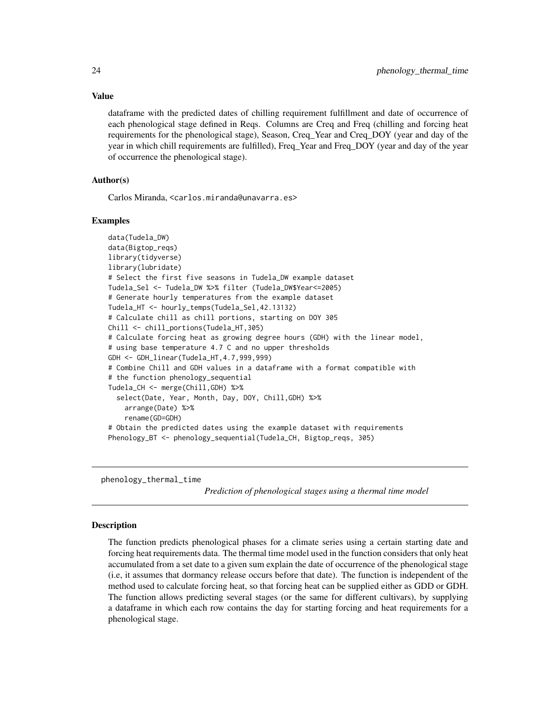dataframe with the predicted dates of chilling requirement fulfillment and date of occurrence of each phenological stage defined in Reqs. Columns are Creq and Freq (chilling and forcing heat requirements for the phenological stage), Season, Creq\_Year and Creq\_DOY (year and day of the year in which chill requirements are fulfilled), Freq\_Year and Freq\_DOY (year and day of the year of occurrence the phenological stage).

#### Author(s)

Carlos Miranda, <carlos.miranda@unavarra.es>

#### Examples

```
data(Tudela_DW)
data(Bigtop_reqs)
library(tidyverse)
library(lubridate)
# Select the first five seasons in Tudela_DW example dataset
Tudela_Sel <- Tudela_DW %>% filter (Tudela_DW$Year<=2005)
# Generate hourly temperatures from the example dataset
Tudela_HT <- hourly_temps(Tudela_Sel,42.13132)
# Calculate chill as chill portions, starting on DOY 305
Chill <- chill_portions(Tudela_HT,305)
# Calculate forcing heat as growing degree hours (GDH) with the linear model,
# using base temperature 4.7 C and no upper thresholds
GDH <- GDH_linear(Tudela_HT,4.7,999,999)
# Combine Chill and GDH values in a dataframe with a format compatible with
# the function phenology_sequential
Tudela_CH <- merge(Chill,GDH) %>%
 select(Date, Year, Month, Day, DOY, Chill,GDH) %>%
    arrange(Date) %>%
    rename(GD=GDH)
# Obtain the predicted dates using the example dataset with requirements
Phenology_BT <- phenology_sequential(Tudela_CH, Bigtop_reqs, 305)
```
phenology\_thermal\_time

*Prediction of phenological stages using a thermal time model*

#### Description

The function predicts phenological phases for a climate series using a certain starting date and forcing heat requirements data. The thermal time model used in the function considers that only heat accumulated from a set date to a given sum explain the date of occurrence of the phenological stage (i.e, it assumes that dormancy release occurs before that date). The function is independent of the method used to calculate forcing heat, so that forcing heat can be supplied either as GDD or GDH. The function allows predicting several stages (or the same for different cultivars), by supplying a dataframe in which each row contains the day for starting forcing and heat requirements for a phenological stage.

<span id="page-23-0"></span>

### Value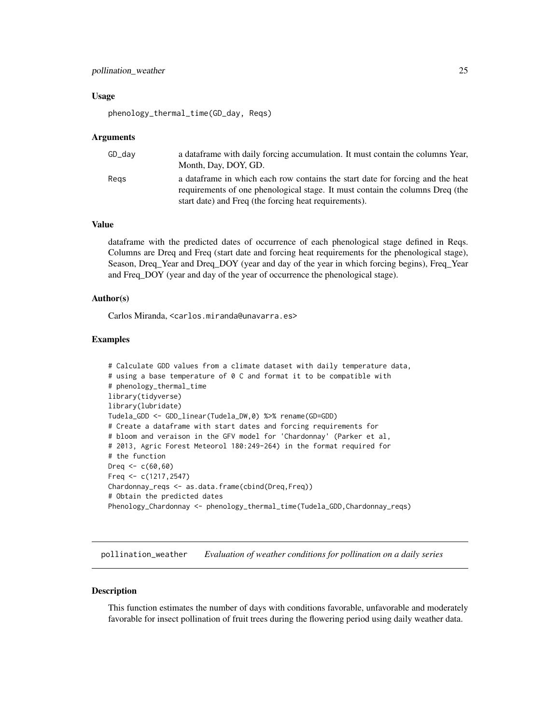#### <span id="page-24-0"></span>pollination\_weather 25

#### Usage

phenology\_thermal\_time(GD\_day, Reqs)

#### Arguments

| $GD\_day$ | a data frame with daily forcing accumulation. It must contain the columns Year,<br>Month, Day, DOY, GD.                                                                                                                   |
|-----------|---------------------------------------------------------------------------------------------------------------------------------------------------------------------------------------------------------------------------|
| Reas      | a data frame in which each row contains the start date for forcing and the heat<br>requirements of one phenological stage. It must contain the columns Dreq (the<br>start date) and Freq (the forcing heat requirements). |

#### Value

dataframe with the predicted dates of occurrence of each phenological stage defined in Reqs. Columns are Dreq and Freq (start date and forcing heat requirements for the phenological stage), Season, Dreq\_Year and Dreq\_DOY (year and day of the year in which forcing begins), Freq\_Year and Freq\_DOY (year and day of the year of occurrence the phenological stage).

#### Author(s)

Carlos Miranda, <carlos.miranda@unavarra.es>

#### Examples

```
# Calculate GDD values from a climate dataset with daily temperature data,
# using a base temperature of 0 C and format it to be compatible with
# phenology_thermal_time
library(tidyverse)
library(lubridate)
Tudela_GDD <- GDD_linear(Tudela_DW,0) %>% rename(GD=GDD)
# Create a dataframe with start dates and forcing requirements for
# bloom and veraison in the GFV model for 'Chardonnay' (Parker et al,
# 2013, Agric Forest Meteorol 180:249-264) in the format required for
# the function
Dreq <- c(60,60)
Freq <- c(1217,2547)
Chardonnay_reqs <- as.data.frame(cbind(Dreq,Freq))
# Obtain the predicted dates
Phenology_Chardonnay <- phenology_thermal_time(Tudela_GDD,Chardonnay_reqs)
```
pollination\_weather *Evaluation of weather conditions for pollination on a daily series*

#### **Description**

This function estimates the number of days with conditions favorable, unfavorable and moderately favorable for insect pollination of fruit trees during the flowering period using daily weather data.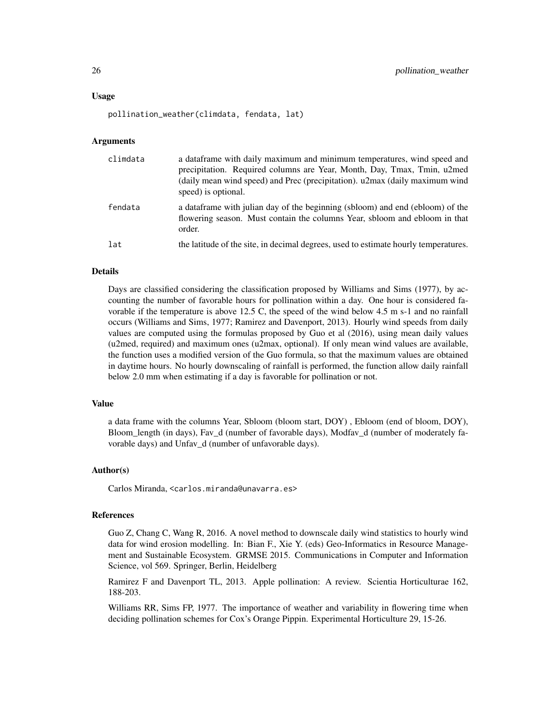#### Usage

pollination\_weather(climdata, fendata, lat)

#### Arguments

| climdata | a data frame with daily maximum and minimum temperatures, wind speed and<br>precipitation. Required columns are Year, Month, Day, Tmax, Tmin, u2med<br>(daily mean wind speed) and Prec (precipitation). u2max (daily maximum wind<br>speed) is optional. |
|----------|-----------------------------------------------------------------------------------------------------------------------------------------------------------------------------------------------------------------------------------------------------------|
| fendata  | a data frame with julian day of the beginning (sbloom) and end (ebloom) of the<br>flowering season. Must contain the columns Year, sbloom and ebloom in that<br>order.                                                                                    |
| lat      | the latitude of the site, in decimal degrees, used to estimate hourly temperatures.                                                                                                                                                                       |

#### Details

Days are classified considering the classification proposed by Williams and Sims (1977), by accounting the number of favorable hours for pollination within a day. One hour is considered favorable if the temperature is above 12.5 C, the speed of the wind below 4.5 m s-1 and no rainfall occurs (Williams and Sims, 1977; Ramirez and Davenport, 2013). Hourly wind speeds from daily values are computed using the formulas proposed by Guo et al (2016), using mean daily values (u2med, required) and maximum ones (u2max, optional). If only mean wind values are available, the function uses a modified version of the Guo formula, so that the maximum values are obtained in daytime hours. No hourly downscaling of rainfall is performed, the function allow daily rainfall below 2.0 mm when estimating if a day is favorable for pollination or not.

#### Value

a data frame with the columns Year, Sbloom (bloom start, DOY) , Ebloom (end of bloom, DOY), Bloom\_length (in days), Fav\_d (number of favorable days), Modfav\_d (number of moderately favorable days) and Unfav d (number of unfavorable days).

#### Author(s)

Carlos Miranda, <carlos.miranda@unavarra.es>

#### References

Guo Z, Chang C, Wang R, 2016. A novel method to downscale daily wind statistics to hourly wind data for wind erosion modelling. In: Bian F., Xie Y. (eds) Geo-Informatics in Resource Management and Sustainable Ecosystem. GRMSE 2015. Communications in Computer and Information Science, vol 569. Springer, Berlin, Heidelberg

Ramirez F and Davenport TL, 2013. Apple pollination: A review. Scientia Horticulturae 162, 188-203.

Williams RR, Sims FP, 1977. The importance of weather and variability in flowering time when deciding pollination schemes for Cox's Orange Pippin. Experimental Horticulture 29, 15-26.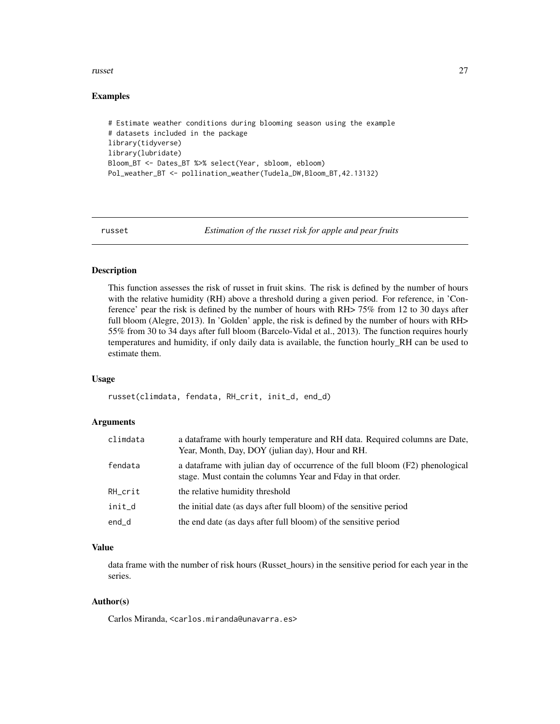#### <span id="page-26-0"></span>russet 27

#### Examples

```
# Estimate weather conditions during blooming season using the example
# datasets included in the package
library(tidyverse)
library(lubridate)
Bloom_BT <- Dates_BT %>% select(Year, sbloom, ebloom)
Pol_weather_BT <- pollination_weather(Tudela_DW,Bloom_BT,42.13132)
```
russet *Estimation of the russet risk for apple and pear fruits*

#### **Description**

This function assesses the risk of russet in fruit skins. The risk is defined by the number of hours with the relative humidity (RH) above a threshold during a given period. For reference, in 'Conference' pear the risk is defined by the number of hours with RH> 75% from 12 to 30 days after full bloom (Alegre, 2013). In 'Golden' apple, the risk is defined by the number of hours with RH> 55% from 30 to 34 days after full bloom (Barcelo-Vidal et al., 2013). The function requires hourly temperatures and humidity, if only daily data is available, the function hourly\_RH can be used to estimate them.

#### Usage

russet(climdata, fendata, RH\_crit, init\_d, end\_d)

#### Arguments

| climdata | a dataframe with hourly temperature and RH data. Required columns are Date,<br>Year, Month, Day, DOY (julian day), Hour and RH.                |
|----------|------------------------------------------------------------------------------------------------------------------------------------------------|
| fendata  | a data frame with julian day of occurrence of the full bloom (F2) phenological<br>stage. Must contain the columns Year and Fday in that order. |
| RH crit  | the relative humidity threshold                                                                                                                |
| init_d   | the initial date (as days after full bloom) of the sensitive period                                                                            |
| end_d    | the end date (as days after full bloom) of the sensitive period                                                                                |

#### Value

data frame with the number of risk hours (Russet\_hours) in the sensitive period for each year in the series.

#### Author(s)

Carlos Miranda, <carlos.miranda@unavarra.es>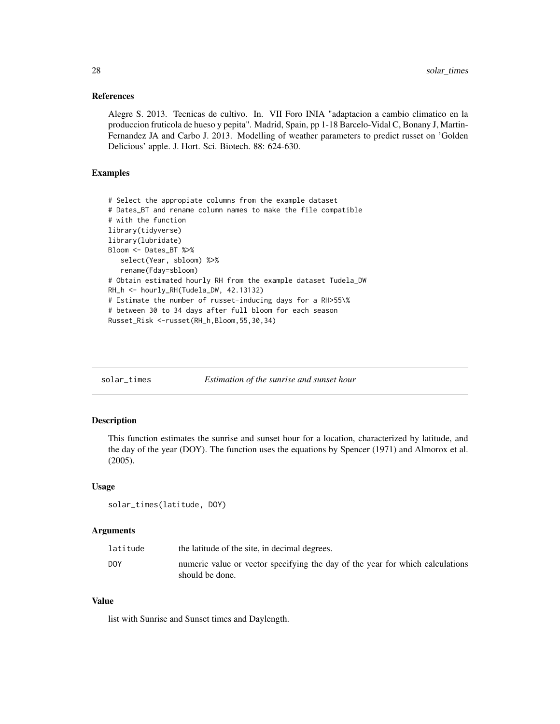#### <span id="page-27-0"></span>References

Alegre S. 2013. Tecnicas de cultivo. In. VII Foro INIA "adaptacion a cambio climatico en la produccion fruticola de hueso y pepita". Madrid, Spain, pp 1-18 Barcelo-Vidal C, Bonany J, Martin-Fernandez JA and Carbo J. 2013. Modelling of weather parameters to predict russet on 'Golden Delicious' apple. J. Hort. Sci. Biotech. 88: 624-630.

#### Examples

```
# Select the appropiate columns from the example dataset
# Dates_BT and rename column names to make the file compatible
# with the function
library(tidyverse)
library(lubridate)
Bloom <- Dates_BT %>%
   select(Year, sbloom) %>%
   rename(Fday=sbloom)
# Obtain estimated hourly RH from the example dataset Tudela_DW
RH_h <- hourly_RH(Tudela_DW, 42.13132)
# Estimate the number of russet-inducing days for a RH>55\%
# between 30 to 34 days after full bloom for each season
Russet_Risk <-russet(RH_h,Bloom,55,30,34)
```
#### Description

This function estimates the sunrise and sunset hour for a location, characterized by latitude, and the day of the year (DOY). The function uses the equations by Spencer (1971) and Almorox et al. (2005).

#### Usage

solar\_times(latitude, DOY)

#### Arguments

| latitude   | the latitude of the site, in decimal degrees.                                                    |
|------------|--------------------------------------------------------------------------------------------------|
| <b>DOY</b> | numeric value or vector specifying the day of the year for which calculations<br>should be done. |

#### Value

list with Sunrise and Sunset times and Daylength.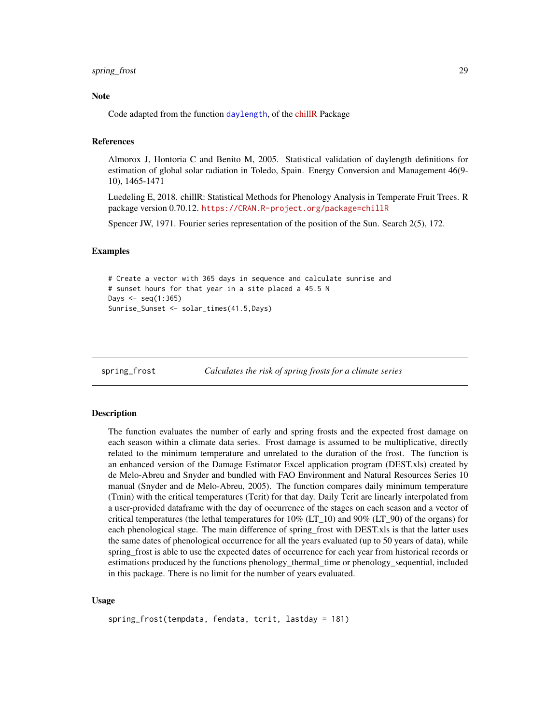#### <span id="page-28-0"></span>spring\_frost 29

#### **Note**

Code adapted from the function [daylength](#page-0-0), of the [chillR](https://CRAN.R-project.org/package=chillR) Package

#### References

Almorox J, Hontoria C and Benito M, 2005. Statistical validation of daylength definitions for estimation of global solar radiation in Toledo, Spain. Energy Conversion and Management 46(9- 10), 1465-1471

Luedeling E, 2018. chillR: Statistical Methods for Phenology Analysis in Temperate Fruit Trees. R package version 0.70.12. <https://CRAN.R-project.org/package=chillR>

Spencer JW, 1971. Fourier series representation of the position of the Sun. Search 2(5), 172.

#### Examples

```
# Create a vector with 365 days in sequence and calculate sunrise and
# sunset hours for that year in a site placed a 45.5 N
Days \leq seq(1:365)
Sunrise_Sunset <- solar_times(41.5,Days)
```
spring\_frost *Calculates the risk of spring frosts for a climate series*

#### **Description**

The function evaluates the number of early and spring frosts and the expected frost damage on each season within a climate data series. Frost damage is assumed to be multiplicative, directly related to the minimum temperature and unrelated to the duration of the frost. The function is an enhanced version of the Damage Estimator Excel application program (DEST.xls) created by de Melo-Abreu and Snyder and bundled with FAO Environment and Natural Resources Series 10 manual (Snyder and de Melo-Abreu, 2005). The function compares daily minimum temperature (Tmin) with the critical temperatures (Tcrit) for that day. Daily Tcrit are linearly interpolated from a user-provided dataframe with the day of occurrence of the stages on each season and a vector of critical temperatures (the lethal temperatures for  $10\%$  (LT 10) and 90% (LT 90) of the organs) for each phenological stage. The main difference of spring\_frost with DEST.xls is that the latter uses the same dates of phenological occurrence for all the years evaluated (up to 50 years of data), while spring\_frost is able to use the expected dates of occurrence for each year from historical records or estimations produced by the functions phenology\_thermal\_time or phenology\_sequential, included in this package. There is no limit for the number of years evaluated.

#### Usage

```
spring_frost(tempdata, fendata, tcrit, lastday = 181)
```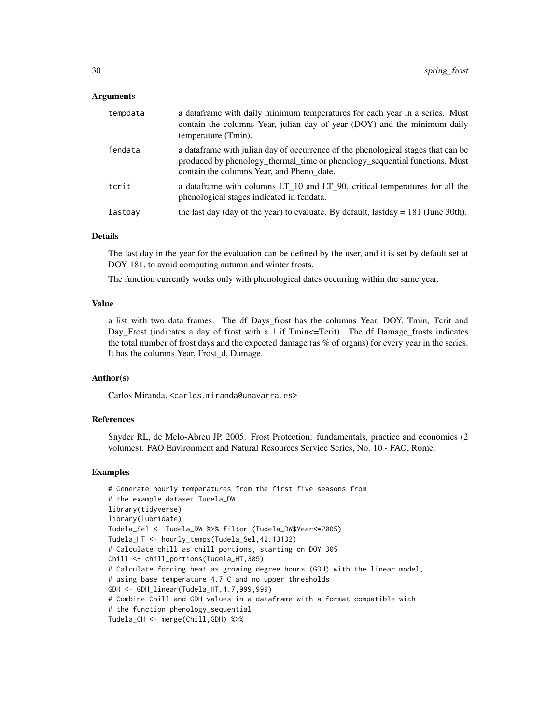#### Arguments

| tempdata | a dataframe with daily minimum temperatures for each year in a series. Must<br>contain the columns Year, julian day of year (DOY) and the minimum daily<br>temperature (Tmin).                               |
|----------|--------------------------------------------------------------------------------------------------------------------------------------------------------------------------------------------------------------|
| fendata  | a data frame with julian day of occurrence of the phenological stages that can be<br>produced by phenology_thermal_time or phenology_sequential functions. Must<br>contain the columns Year, and Pheno date. |
| tcrit    | a data frame with columns LT 10 and LT 90, critical temperatures for all the<br>phenological stages indicated in fendata.                                                                                    |
| lastdav  | the last day (day of the year) to evaluate. By default, lastday $= 181$ (June 30th).                                                                                                                         |

#### Details

The last day in the year for the evaluation can be defined by the user, and it is set by default set at DOY 181, to avoid computing autumn and winter frosts.

The function currently works only with phenological dates occurring within the same year.

#### Value

a list with two data frames. The df Days\_frost has the columns Year, DOY, Tmin, Tcrit and Day\_Frost (indicates a day of frost with a 1 if Tmin<=Tcrit). The df Damage\_frosts indicates the total number of frost days and the expected damage (as % of organs) for every year in the series. It has the columns Year, Frost\_d, Damage.

#### Author(s)

Carlos Miranda, <carlos.miranda@unavarra.es>

#### References

Snyder RL, de Melo-Abreu JP. 2005. Frost Protection: fundamentals, practice and economics (2 volumes). FAO Environment and Natural Resources Service Series, No. 10 - FAO, Rome.

#### Examples

```
# Generate hourly temperatures from the first five seasons from
# the example dataset Tudela_DW
library(tidyverse)
library(lubridate)
Tudela_Sel <- Tudela_DW %>% filter (Tudela_DW$Year<=2005)
Tudela_HT <- hourly_temps(Tudela_Sel,42.13132)
# Calculate chill as chill portions, starting on DOY 305
Chill <- chill_portions(Tudela_HT,305)
# Calculate forcing heat as growing degree hours (GDH) with the linear model,
# using base temperature 4.7 C and no upper thresholds
GDH <- GDH_linear(Tudela_HT,4.7,999,999)
# Combine Chill and GDH values in a dataframe with a format compatible with
# the function phenology_sequential
Tudela_CH <- merge(Chill,GDH) %>%
```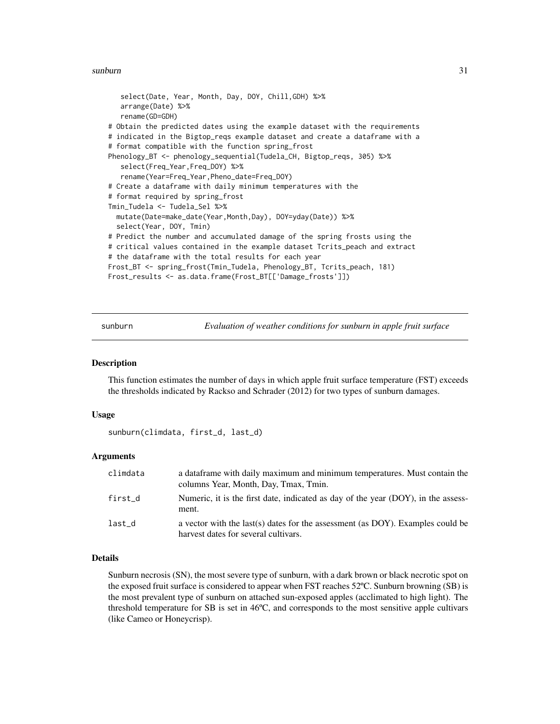#### <span id="page-30-0"></span>sunburn 31

```
select(Date, Year, Month, Day, DOY, Chill,GDH) %>%
  arrange(Date) %>%
  rename(GD=GDH)
# Obtain the predicted dates using the example dataset with the requirements
# indicated in the Bigtop_reqs example dataset and create a dataframe with a
# format compatible with the function spring_frost
Phenology_BT <- phenology_sequential(Tudela_CH, Bigtop_reqs, 305) %>%
   select(Freq_Year,Freq_DOY) %>%
   rename(Year=Freq_Year,Pheno_date=Freq_DOY)
# Create a dataframe with daily minimum temperatures with the
# format required by spring_frost
Tmin_Tudela <- Tudela_Sel %>%
 mutate(Date=make_date(Year,Month,Day), DOY=yday(Date)) %>%
 select(Year, DOY, Tmin)
# Predict the number and accumulated damage of the spring frosts using the
# critical values contained in the example dataset Tcrits_peach and extract
# the dataframe with the total results for each year
Frost_BT <- spring_frost(Tmin_Tudela, Phenology_BT, Tcrits_peach, 181)
Frost_results <- as.data.frame(Frost_BT[['Damage_frosts']])
```
sunburn *Evaluation of weather conditions for sunburn in apple fruit surface*

#### **Description**

This function estimates the number of days in which apple fruit surface temperature (FST) exceeds the thresholds indicated by Rackso and Schrader (2012) for two types of sunburn damages.

#### Usage

```
sunburn(climdata, first_d, last_d)
```
#### Arguments

| climdata | a data frame with daily maximum and minimum temperatures. Must contain the<br>columns Year, Month, Day, Tmax, Tmin.    |
|----------|------------------------------------------------------------------------------------------------------------------------|
| first d  | Numeric, it is the first date, indicated as day of the year (DOY), in the assess-<br>ment.                             |
| last_d   | a vector with the last(s) dates for the assessment (as DOY). Examples could be<br>harvest dates for several cultivars. |

#### Details

Sunburn necrosis (SN), the most severe type of sunburn, with a dark brown or black necrotic spot on the exposed fruit surface is considered to appear when FST reaches 52ºC. Sunburn browning (SB) is the most prevalent type of sunburn on attached sun-exposed apples (acclimated to high light). The threshold temperature for SB is set in 46ºC, and corresponds to the most sensitive apple cultivars (like Cameo or Honeycrisp).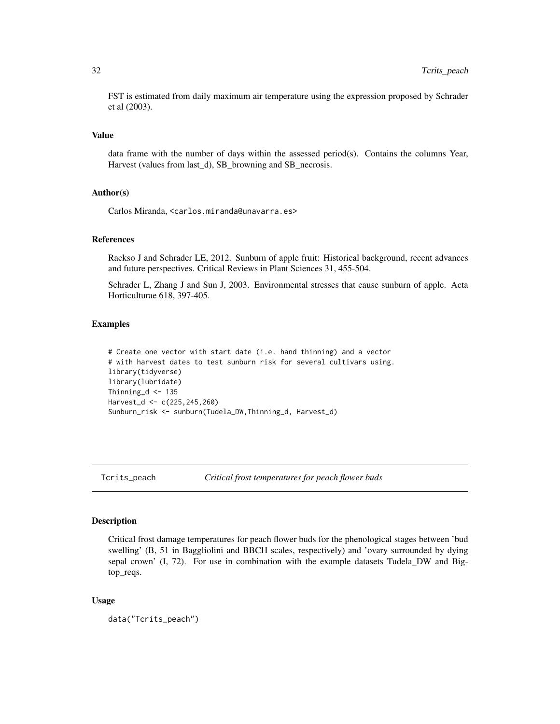<span id="page-31-0"></span>FST is estimated from daily maximum air temperature using the expression proposed by Schrader et al (2003).

#### Value

data frame with the number of days within the assessed period(s). Contains the columns Year, Harvest (values from last\_d), SB\_browning and SB\_necrosis.

#### Author(s)

Carlos Miranda, <carlos.miranda@unavarra.es>

#### References

Rackso J and Schrader LE, 2012. Sunburn of apple fruit: Historical background, recent advances and future perspectives. Critical Reviews in Plant Sciences 31, 455-504.

Schrader L, Zhang J and Sun J, 2003. Environmental stresses that cause sunburn of apple. Acta Horticulturae 618, 397-405.

#### Examples

```
# Create one vector with start date (i.e. hand thinning) and a vector
# with harvest dates to test sunburn risk for several cultivars using.
library(tidyverse)
library(lubridate)
Thinning_d <- 135
Harvest_d <- c(225,245,260)
Sunburn_risk <- sunburn(Tudela_DW,Thinning_d, Harvest_d)
```
Tcrits\_peach *Critical frost temperatures for peach flower buds*

#### **Description**

Critical frost damage temperatures for peach flower buds for the phenological stages between 'bud swelling' (B, 51 in Baggliolini and BBCH scales, respectively) and 'ovary surrounded by dying sepal crown' (I, 72). For use in combination with the example datasets Tudela\_DW and Bigtop\_reqs.

#### Usage

data("Tcrits\_peach")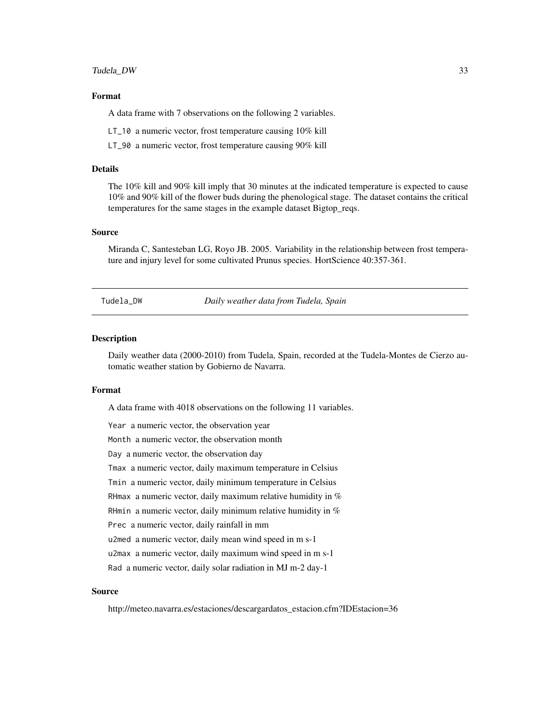#### <span id="page-32-0"></span>Tudela\_DW 33

#### Format

A data frame with 7 observations on the following 2 variables.

LT\_10 a numeric vector, frost temperature causing 10% kill

LT\_90 a numeric vector, frost temperature causing 90% kill

#### Details

The 10% kill and 90% kill imply that 30 minutes at the indicated temperature is expected to cause 10% and 90% kill of the flower buds during the phenological stage. The dataset contains the critical temperatures for the same stages in the example dataset Bigtop\_reqs.

#### Source

Miranda C, Santesteban LG, Royo JB. 2005. Variability in the relationship between frost temperature and injury level for some cultivated Prunus species. HortScience 40:357-361.

Tudela\_DW *Daily weather data from Tudela, Spain*

#### **Description**

Daily weather data (2000-2010) from Tudela, Spain, recorded at the Tudela-Montes de Cierzo automatic weather station by Gobierno de Navarra.

#### Format

A data frame with 4018 observations on the following 11 variables.

Year a numeric vector, the observation year Month a numeric vector, the observation month Day a numeric vector, the observation day Tmax a numeric vector, daily maximum temperature in Celsius Tmin a numeric vector, daily minimum temperature in Celsius RHmax a numeric vector, daily maximum relative humidity in  $%$ RHmin a numeric vector, daily minimum relative humidity in  $%$ Prec a numeric vector, daily rainfall in mm u2med a numeric vector, daily mean wind speed in m s-1 u2max a numeric vector, daily maximum wind speed in m s-1 Rad a numeric vector, daily solar radiation in MJ m-2 day-1

#### Source

http://meteo.navarra.es/estaciones/descargardatos\_estacion.cfm?IDEstacion=36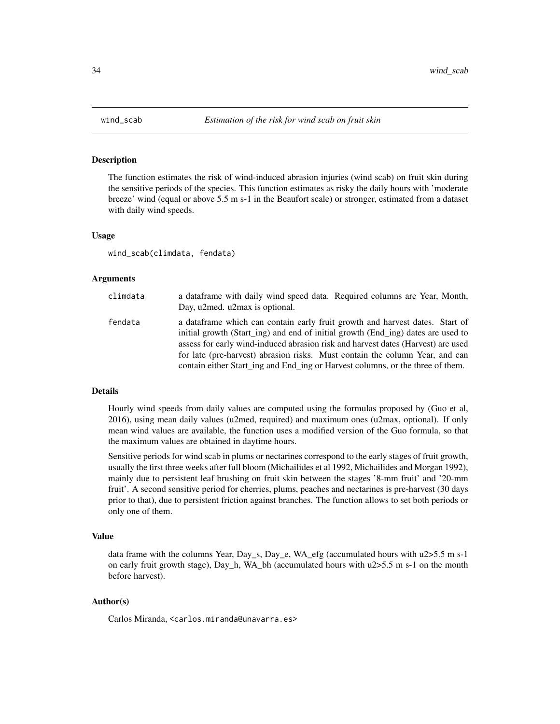<span id="page-33-0"></span>

#### Description

The function estimates the risk of wind-induced abrasion injuries (wind scab) on fruit skin during the sensitive periods of the species. This function estimates as risky the daily hours with 'moderate breeze' wind (equal or above 5.5 m s-1 in the Beaufort scale) or stronger, estimated from a dataset with daily wind speeds.

#### Usage

wind\_scab(climdata, fendata)

#### Arguments

| climdata | a dataframe with daily wind speed data. Required columns are Year, Month,<br>Day, u2med. u2max is optional.                                                                                                                                                                                                                                                                                                             |
|----------|-------------------------------------------------------------------------------------------------------------------------------------------------------------------------------------------------------------------------------------------------------------------------------------------------------------------------------------------------------------------------------------------------------------------------|
| fendata  | a data frame which can contain early fruit growth and harvest dates. Start of<br>initial growth (Start_ing) and end of initial growth (End_ing) dates are used to<br>assess for early wind-induced abrasion risk and harvest dates (Harvest) are used<br>for late (pre-harvest) abrasion risks. Must contain the column Year, and can<br>contain either Start_ing and End_ing or Harvest columns, or the three of them. |

#### Details

Hourly wind speeds from daily values are computed using the formulas proposed by (Guo et al, 2016), using mean daily values (u2med, required) and maximum ones (u2max, optional). If only mean wind values are available, the function uses a modified version of the Guo formula, so that the maximum values are obtained in daytime hours.

Sensitive periods for wind scab in plums or nectarines correspond to the early stages of fruit growth, usually the first three weeks after full bloom (Michailides et al 1992, Michailides and Morgan 1992), mainly due to persistent leaf brushing on fruit skin between the stages '8-mm fruit' and '20-mm fruit'. A second sensitive period for cherries, plums, peaches and nectarines is pre-harvest (30 days prior to that), due to persistent friction against branches. The function allows to set both periods or only one of them.

#### Value

data frame with the columns Year, Day\_s, Day\_e, WA\_efg (accumulated hours with u2>5.5 m s-1 on early fruit growth stage), Day\_h, WA\_bh (accumulated hours with u2>5.5 m s-1 on the month before harvest).

#### Author(s)

Carlos Miranda, <carlos.miranda@unavarra.es>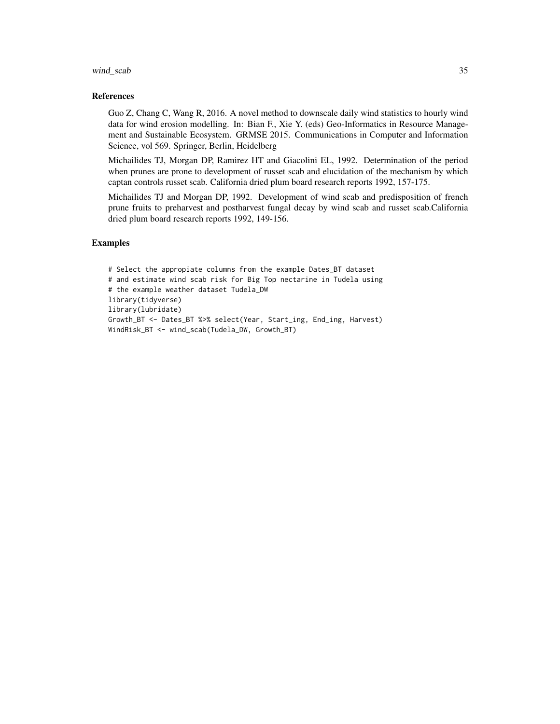#### wind\_scab 35

#### References

Guo Z, Chang C, Wang R, 2016. A novel method to downscale daily wind statistics to hourly wind data for wind erosion modelling. In: Bian F., Xie Y. (eds) Geo-Informatics in Resource Management and Sustainable Ecosystem. GRMSE 2015. Communications in Computer and Information Science, vol 569. Springer, Berlin, Heidelberg

Michailides TJ, Morgan DP, Ramirez HT and Giacolini EL, 1992. Determination of the period when prunes are prone to development of russet scab and elucidation of the mechanism by which captan controls russet scab. California dried plum board research reports 1992, 157-175.

Michailides TJ and Morgan DP, 1992. Development of wind scab and predisposition of french prune fruits to preharvest and postharvest fungal decay by wind scab and russet scab.California dried plum board research reports 1992, 149-156.

#### Examples

```
# Select the appropiate columns from the example Dates_BT dataset
# and estimate wind scab risk for Big Top nectarine in Tudela using
# the example weather dataset Tudela_DW
library(tidyverse)
library(lubridate)
Growth_BT <- Dates_BT %>% select(Year, Start_ing, End_ing, Harvest)
WindRisk_BT <- wind_scab(Tudela_DW, Growth_BT)
```